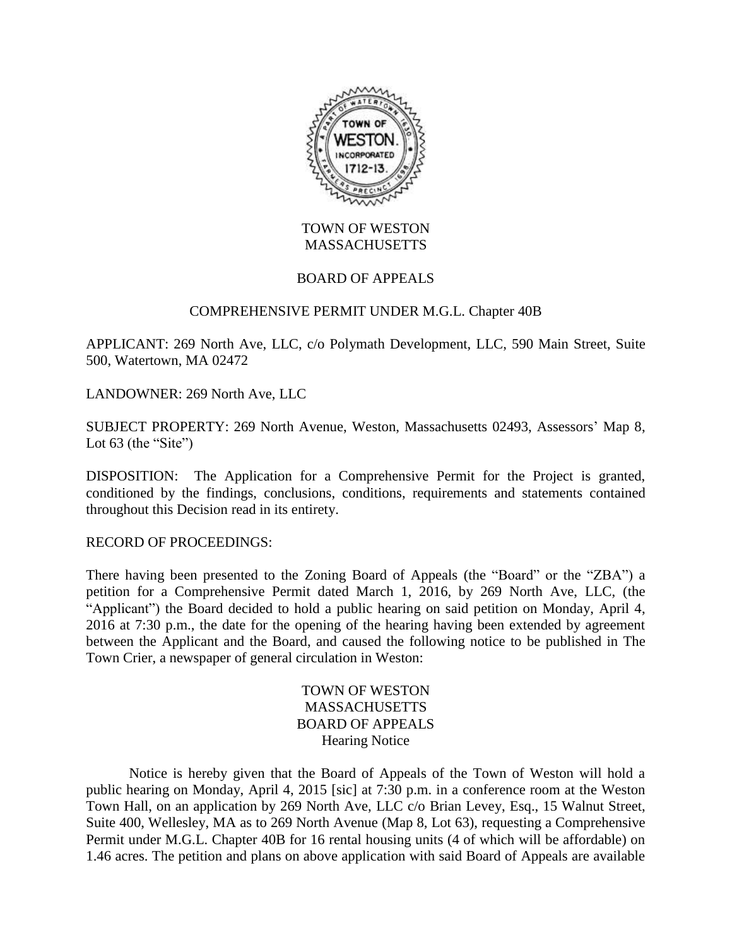

## TOWN OF WESTON **MASSACHUSETTS**

## BOARD OF APPEALS

### COMPREHENSIVE PERMIT UNDER M.G.L. Chapter 40B

APPLICANT: 269 North Ave, LLC, c/o Polymath Development, LLC, 590 Main Street, Suite 500, Watertown, MA 02472

LANDOWNER: 269 North Ave, LLC

SUBJECT PROPERTY: 269 North Avenue, Weston, Massachusetts 02493, Assessors' Map 8, Lot  $63$  (the "Site")

DISPOSITION: The Application for a Comprehensive Permit for the Project is granted, conditioned by the findings, conclusions, conditions, requirements and statements contained throughout this Decision read in its entirety.

RECORD OF PROCEEDINGS:

There having been presented to the Zoning Board of Appeals (the "Board" or the "ZBA") a petition for a Comprehensive Permit dated March 1, 2016, by 269 North Ave, LLC, (the "Applicant") the Board decided to hold a public hearing on said petition on Monday, April 4, 2016 at 7:30 p.m., the date for the opening of the hearing having been extended by agreement between the Applicant and the Board, and caused the following notice to be published in The Town Crier, a newspaper of general circulation in Weston:

> TOWN OF WESTON **MASSACHUSETTS** BOARD OF APPEALS Hearing Notice

Notice is hereby given that the Board of Appeals of the Town of Weston will hold a public hearing on Monday, April 4, 2015 [sic] at 7:30 p.m. in a conference room at the Weston Town Hall, on an application by 269 North Ave, LLC c/o Brian Levey, Esq., 15 Walnut Street, Suite 400, Wellesley, MA as to 269 North Avenue (Map 8, Lot 63), requesting a Comprehensive Permit under M.G.L. Chapter 40B for 16 rental housing units (4 of which will be affordable) on 1.46 acres. The petition and plans on above application with said Board of Appeals are available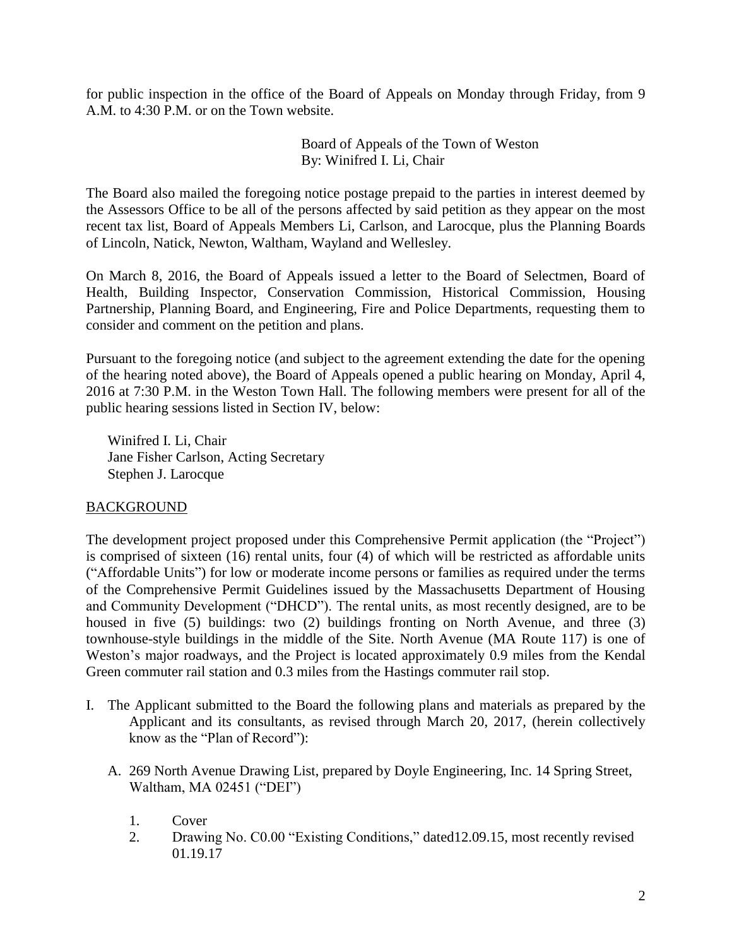for public inspection in the office of the Board of Appeals on Monday through Friday, from 9 A.M. to 4:30 P.M. or on the Town website.

> Board of Appeals of the Town of Weston By: Winifred I. Li, Chair

The Board also mailed the foregoing notice postage prepaid to the parties in interest deemed by the Assessors Office to be all of the persons affected by said petition as they appear on the most recent tax list, Board of Appeals Members Li, Carlson, and Larocque, plus the Planning Boards of Lincoln, Natick, Newton, Waltham, Wayland and Wellesley.

On March 8, 2016, the Board of Appeals issued a letter to the Board of Selectmen, Board of Health, Building Inspector, Conservation Commission, Historical Commission, Housing Partnership, Planning Board, and Engineering, Fire and Police Departments, requesting them to consider and comment on the petition and plans.

Pursuant to the foregoing notice (and subject to the agreement extending the date for the opening of the hearing noted above), the Board of Appeals opened a public hearing on Monday, April 4, 2016 at 7:30 P.M. in the Weston Town Hall. The following members were present for all of the public hearing sessions listed in Section IV, below:

Winifred I. Li, Chair Jane Fisher Carlson, Acting Secretary Stephen J. Larocque

## BACKGROUND

The development project proposed under this Comprehensive Permit application (the "Project") is comprised of sixteen (16) rental units, four (4) of which will be restricted as affordable units ("Affordable Units") for low or moderate income persons or families as required under the terms of the Comprehensive Permit Guidelines issued by the Massachusetts Department of Housing and Community Development ("DHCD"). The rental units, as most recently designed, are to be housed in five (5) buildings: two (2) buildings fronting on North Avenue, and three (3) townhouse-style buildings in the middle of the Site. North Avenue (MA Route 117) is one of Weston's major roadways, and the Project is located approximately 0.9 miles from the Kendal Green commuter rail station and 0.3 miles from the Hastings commuter rail stop.

- I. The Applicant submitted to the Board the following plans and materials as prepared by the Applicant and its consultants, as revised through March 20, 2017, (herein collectively know as the "Plan of Record"):
	- A. 269 North Avenue Drawing List, prepared by Doyle Engineering, Inc. 14 Spring Street, Waltham, MA 02451 ("DEI")
		- 1. Cover
		- 2. Drawing No. C0.00 "Existing Conditions," dated12.09.15, most recently revised 01.19.17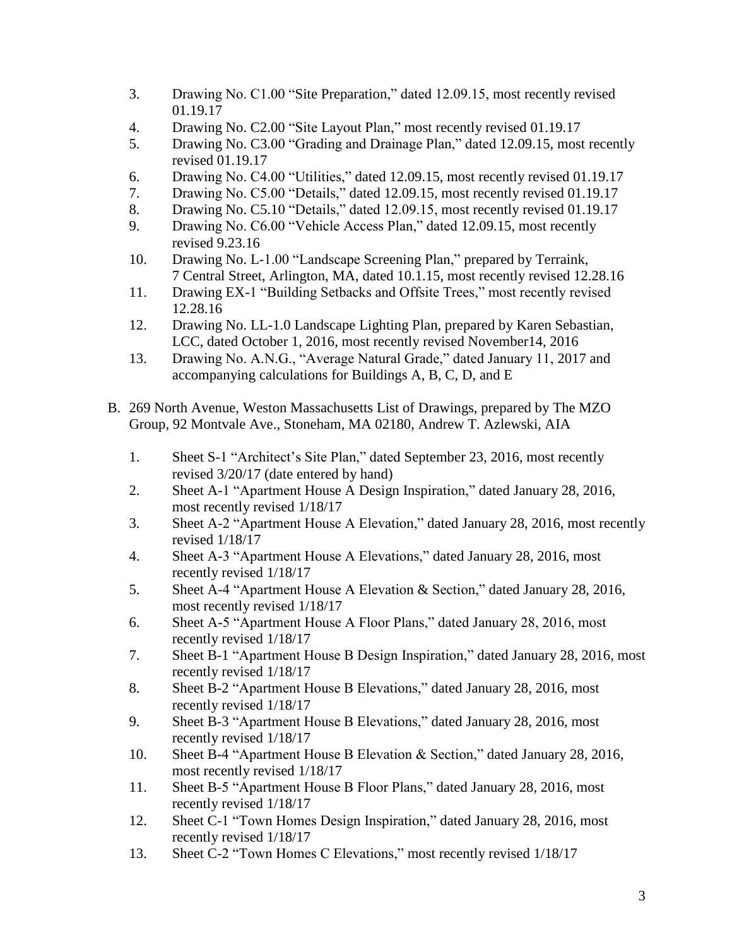- 3. Drawing No. C1.00 "Site Preparation," dated 12.09.15, most recently revised 01.19.17
- 4. Drawing No. C2.00 "Site Layout Plan," most recently revised 01.19.17
- 5. Drawing No. C3.00 "Grading and Drainage Plan," dated 12.09.15, most recently revised 01.19.17
- 6. Drawing No. C4.00 "Utilities," dated 12.09.15, most recently revised 01.19.17
- 7. Drawing No. C5.00 "Details," dated 12.09.15, most recently revised 01.19.17
- 8. Drawing No. C5.10 "Details," dated 12.09.15, most recently revised 01.19.17
- 9. Drawing No. C6.00 "Vehicle Access Plan," dated 12.09.15, most recently revised 9.23.16
- 10. Drawing No. L-1.00 "Landscape Screening Plan," prepared by Terraink, 7 Central Street, Arlington, MA, dated 10.1.15, most recently revised 12.28.16
- 11. Drawing EX-1 "Building Setbacks and Offsite Trees," most recently revised 12.28.16
- 12. Drawing No. LL-1.0 Landscape Lighting Plan, prepared by Karen Sebastian, LCC, dated October 1, 2016, most recently revised November14, 2016
- 13. Drawing No. A.N.G., "Average Natural Grade," dated January 11, 2017 and accompanying calculations for Buildings A, B, C, D, and E
- B. 269 North Avenue, Weston Massachusetts List of Drawings, prepared by The MZO Group, 92 Montvale Ave., Stoneham, MA 02180, Andrew T. Azlewski, AIA
	- 1. Sheet S-1 "Architect's Site Plan," dated September 23, 2016, most recently revised 3/20/17 (date entered by hand)
	- 2. Sheet A-1 "Apartment House A Design Inspiration," dated January 28, 2016, most recently revised 1/18/17
	- 3. Sheet A-2 "Apartment House A Elevation," dated January 28, 2016, most recently revised 1/18/17
	- 4. Sheet A-3 "Apartment House A Elevations," dated January 28, 2016, most recently revised 1/18/17
	- 5. Sheet A-4 "Apartment House A Elevation & Section," dated January 28, 2016, most recently revised 1/18/17
	- 6. Sheet A-5 "Apartment House A Floor Plans," dated January 28, 2016, most recently revised 1/18/17
	- 7. Sheet B-1 "Apartment House B Design Inspiration," dated January 28, 2016, most recently revised 1/18/17
	- 8. Sheet B-2 "Apartment House B Elevations," dated January 28, 2016, most recently revised 1/18/17
	- 9. Sheet B-3 "Apartment House B Elevations," dated January 28, 2016, most recently revised 1/18/17
	- 10. Sheet B-4 "Apartment House B Elevation & Section," dated January 28, 2016, most recently revised 1/18/17
	- 11. Sheet B-5 "Apartment House B Floor Plans," dated January 28, 2016, most recently revised 1/18/17
	- 12. Sheet C-1 "Town Homes Design Inspiration," dated January 28, 2016, most recently revised 1/18/17
	- 13. Sheet C-2 "Town Homes C Elevations," most recently revised 1/18/17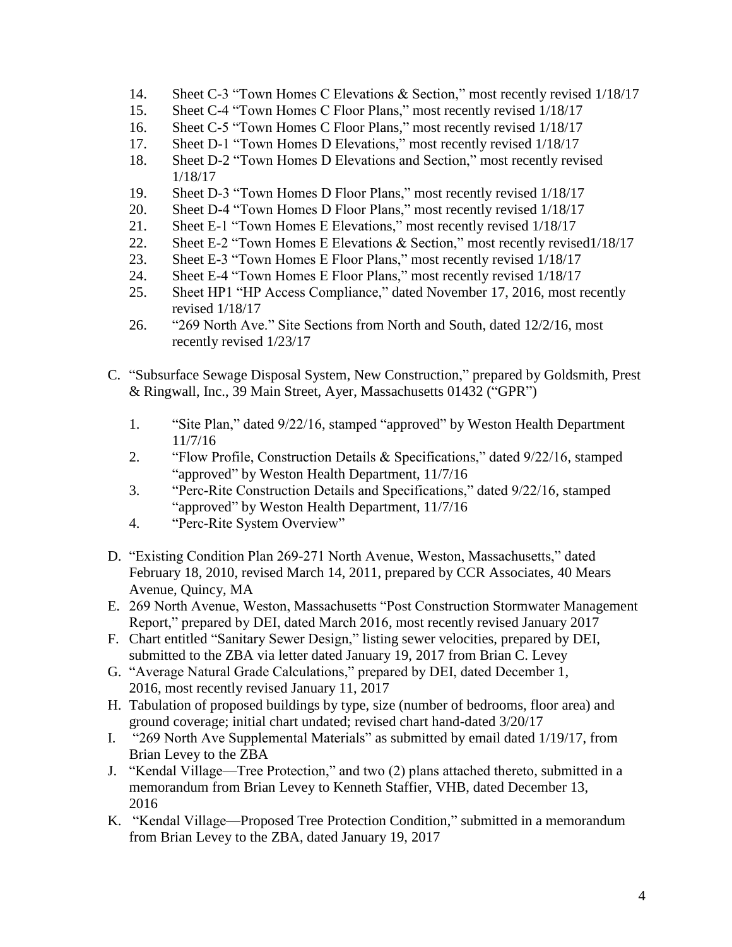- 14. Sheet C-3 "Town Homes C Elevations & Section," most recently revised 1/18/17
- 15. Sheet C-4 "Town Homes C Floor Plans," most recently revised 1/18/17
- 16. Sheet C-5 "Town Homes C Floor Plans," most recently revised 1/18/17
- 17. Sheet D-1 "Town Homes D Elevations," most recently revised 1/18/17
- 18. Sheet D-2 "Town Homes D Elevations and Section," most recently revised 1/18/17
- 19. Sheet D-3 "Town Homes D Floor Plans," most recently revised 1/18/17
- 20. Sheet D-4 "Town Homes D Floor Plans," most recently revised 1/18/17
- 21. Sheet E-1 "Town Homes E Elevations," most recently revised 1/18/17
- 22. Sheet E-2 "Town Homes E Elevations & Section," most recently revised1/18/17
- 23. Sheet E-3 "Town Homes E Floor Plans," most recently revised 1/18/17
- 24. Sheet E-4 "Town Homes E Floor Plans," most recently revised 1/18/17
- 25. Sheet HP1 "HP Access Compliance," dated November 17, 2016, most recently revised 1/18/17
- 26. "269 North Ave." Site Sections from North and South, dated 12/2/16, most recently revised 1/23/17
- C. "Subsurface Sewage Disposal System, New Construction," prepared by Goldsmith, Prest & Ringwall, Inc., 39 Main Street, Ayer, Massachusetts 01432 ("GPR")
	- 1. "Site Plan," dated 9/22/16, stamped "approved" by Weston Health Department 11/7/16
	- 2. "Flow Profile, Construction Details & Specifications," dated 9/22/16, stamped "approved" by Weston Health Department, 11/7/16
	- 3. "Perc-Rite Construction Details and Specifications," dated 9/22/16, stamped "approved" by Weston Health Department, 11/7/16
	- 4. "Perc-Rite System Overview"
- D. "Existing Condition Plan 269-271 North Avenue, Weston, Massachusetts," dated February 18, 2010, revised March 14, 2011, prepared by CCR Associates, 40 Mears Avenue, Quincy, MA
- E. 269 North Avenue, Weston, Massachusetts "Post Construction Stormwater Management Report," prepared by DEI, dated March 2016, most recently revised January 2017
- F. Chart entitled "Sanitary Sewer Design," listing sewer velocities, prepared by DEI, submitted to the ZBA via letter dated January 19, 2017 from Brian C. Levey
- G. "Average Natural Grade Calculations," prepared by DEI, dated December 1, 2016, most recently revised January 11, 2017
- H. Tabulation of proposed buildings by type, size (number of bedrooms, floor area) and ground coverage; initial chart undated; revised chart hand-dated 3/20/17
- I. "269 North Ave Supplemental Materials" as submitted by email dated 1/19/17, from Brian Levey to the ZBA
- J. "Kendal Village—Tree Protection," and two (2) plans attached thereto, submitted in a memorandum from Brian Levey to Kenneth Staffier, VHB, dated December 13, 2016
- K. "Kendal Village—Proposed Tree Protection Condition," submitted in a memorandum from Brian Levey to the ZBA, dated January 19, 2017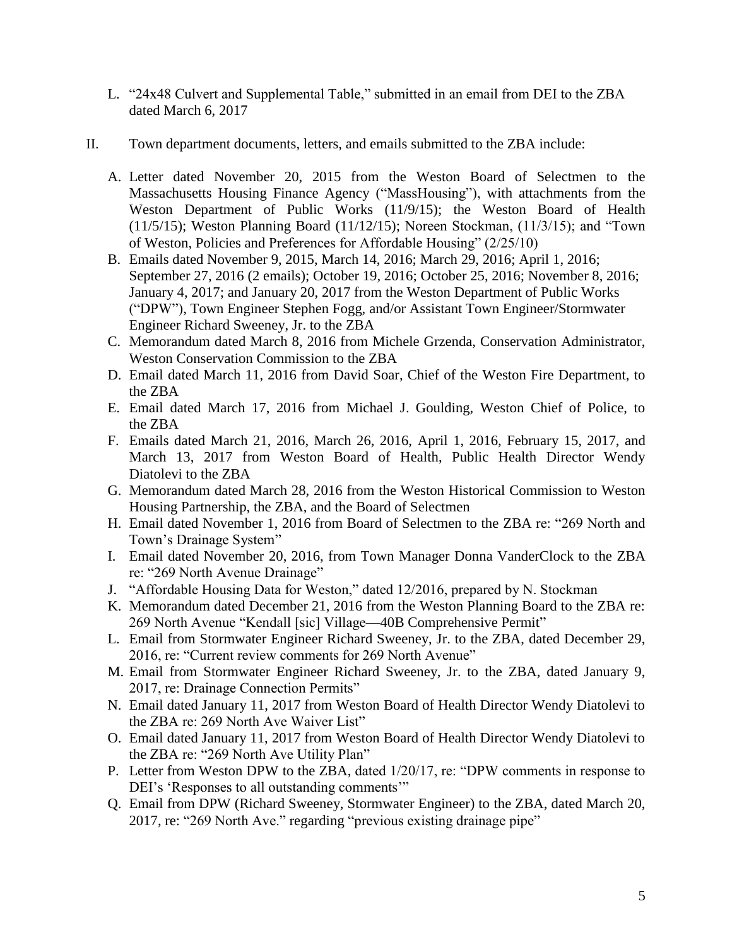- L. "24x48 Culvert and Supplemental Table," submitted in an email from DEI to the ZBA dated March 6, 2017
- II. Town department documents, letters, and emails submitted to the ZBA include:
	- A. Letter dated November 20, 2015 from the Weston Board of Selectmen to the Massachusetts Housing Finance Agency ("MassHousing"), with attachments from the Weston Department of Public Works (11/9/15); the Weston Board of Health (11/5/15); Weston Planning Board (11/12/15); Noreen Stockman, (11/3/15); and "Town of Weston, Policies and Preferences for Affordable Housing" (2/25/10)
	- B. Emails dated November 9, 2015, March 14, 2016; March 29, 2016; April 1, 2016; September 27, 2016 (2 emails); October 19, 2016; October 25, 2016; November 8, 2016; January 4, 2017; and January 20, 2017 from the Weston Department of Public Works ("DPW"), Town Engineer Stephen Fogg, and/or Assistant Town Engineer/Stormwater Engineer Richard Sweeney, Jr. to the ZBA
	- C. Memorandum dated March 8, 2016 from Michele Grzenda, Conservation Administrator, Weston Conservation Commission to the ZBA
	- D. Email dated March 11, 2016 from David Soar, Chief of the Weston Fire Department, to the ZBA
	- E. Email dated March 17, 2016 from Michael J. Goulding, Weston Chief of Police, to the ZBA
	- F. Emails dated March 21, 2016, March 26, 2016, April 1, 2016, February 15, 2017, and March 13, 2017 from Weston Board of Health, Public Health Director Wendy Diatolevi to the ZBA
	- G. Memorandum dated March 28, 2016 from the Weston Historical Commission to Weston Housing Partnership, the ZBA, and the Board of Selectmen
	- H. Email dated November 1, 2016 from Board of Selectmen to the ZBA re: "269 North and Town's Drainage System"
	- I. Email dated November 20, 2016, from Town Manager Donna VanderClock to the ZBA re: "269 North Avenue Drainage"
	- J. "Affordable Housing Data for Weston," dated 12/2016, prepared by N. Stockman
	- K. Memorandum dated December 21, 2016 from the Weston Planning Board to the ZBA re: 269 North Avenue "Kendall [sic] Village—40B Comprehensive Permit"
	- L. Email from Stormwater Engineer Richard Sweeney, Jr. to the ZBA, dated December 29, 2016, re: "Current review comments for 269 North Avenue"
	- M. Email from Stormwater Engineer Richard Sweeney, Jr. to the ZBA, dated January 9, 2017, re: Drainage Connection Permits"
	- N. Email dated January 11, 2017 from Weston Board of Health Director Wendy Diatolevi to the ZBA re: 269 North Ave Waiver List"
	- O. Email dated January 11, 2017 from Weston Board of Health Director Wendy Diatolevi to the ZBA re: "269 North Ave Utility Plan"
	- P. Letter from Weston DPW to the ZBA, dated 1/20/17, re: "DPW comments in response to DEI's 'Responses to all outstanding comments'"
	- Q. Email from DPW (Richard Sweeney, Stormwater Engineer) to the ZBA, dated March 20, 2017, re: "269 North Ave." regarding "previous existing drainage pipe"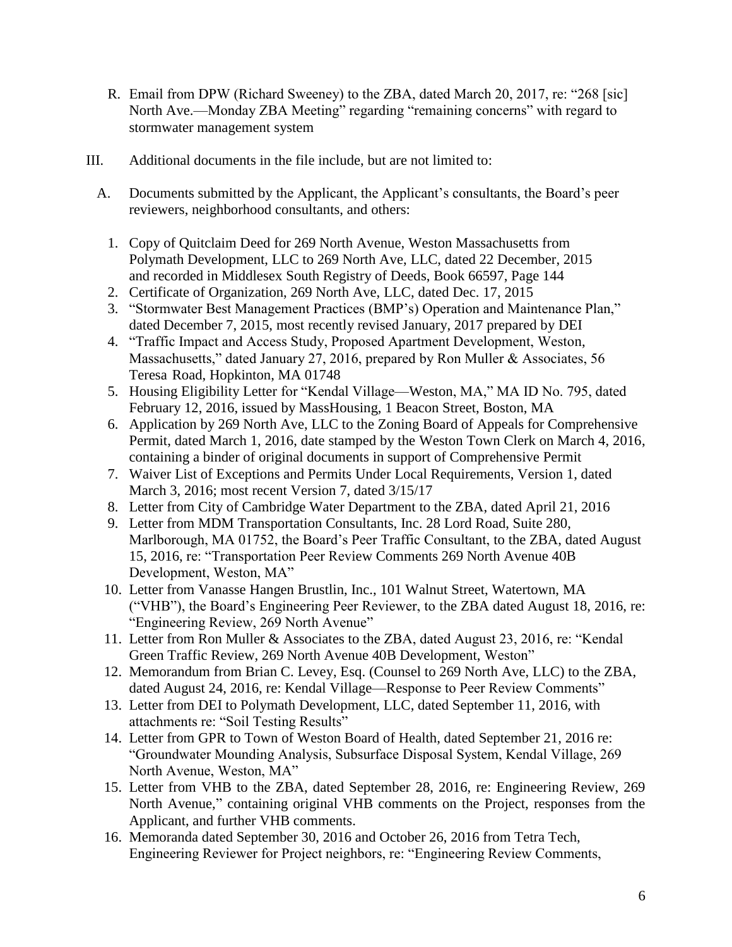- R. Email from DPW (Richard Sweeney) to the ZBA, dated March 20, 2017, re: "268 [sic] North Ave.—Monday ZBA Meeting" regarding "remaining concerns" with regard to stormwater management system
- III. Additional documents in the file include, but are not limited to:
	- A. Documents submitted by the Applicant, the Applicant's consultants, the Board's peer reviewers, neighborhood consultants, and others:
		- 1. Copy of Quitclaim Deed for 269 North Avenue, Weston Massachusetts from Polymath Development, LLC to 269 North Ave, LLC, dated 22 December, 2015 and recorded in Middlesex South Registry of Deeds, Book 66597, Page 144
		- 2. Certificate of Organization, 269 North Ave, LLC, dated Dec. 17, 2015
		- 3. "Stormwater Best Management Practices (BMP's) Operation and Maintenance Plan," dated December 7, 2015, most recently revised January, 2017 prepared by DEI
		- 4. "Traffic Impact and Access Study, Proposed Apartment Development, Weston, Massachusetts," dated January 27, 2016, prepared by Ron Muller & Associates, 56 Teresa Road, Hopkinton, MA 01748
		- 5. Housing Eligibility Letter for "Kendal Village—Weston, MA," MA ID No. 795, dated February 12, 2016, issued by MassHousing, 1 Beacon Street, Boston, MA
		- 6. Application by 269 North Ave, LLC to the Zoning Board of Appeals for Comprehensive Permit, dated March 1, 2016, date stamped by the Weston Town Clerk on March 4, 2016, containing a binder of original documents in support of Comprehensive Permit
		- 7. Waiver List of Exceptions and Permits Under Local Requirements, Version 1, dated March 3, 2016; most recent Version 7, dated 3/15/17
		- 8. Letter from City of Cambridge Water Department to the ZBA, dated April 21, 2016
		- 9. Letter from MDM Transportation Consultants, Inc. 28 Lord Road, Suite 280, Marlborough, MA 01752, the Board's Peer Traffic Consultant, to the ZBA, dated August 15, 2016, re: "Transportation Peer Review Comments 269 North Avenue 40B Development, Weston, MA"
		- 10. Letter from Vanasse Hangen Brustlin, Inc., 101 Walnut Street, Watertown, MA ("VHB"), the Board's Engineering Peer Reviewer, to the ZBA dated August 18, 2016, re: "Engineering Review, 269 North Avenue"
		- 11. Letter from Ron Muller & Associates to the ZBA, dated August 23, 2016, re: "Kendal Green Traffic Review, 269 North Avenue 40B Development, Weston"
		- 12. Memorandum from Brian C. Levey, Esq. (Counsel to 269 North Ave, LLC) to the ZBA, dated August 24, 2016, re: Kendal Village—Response to Peer Review Comments"
		- 13. Letter from DEI to Polymath Development, LLC, dated September 11, 2016, with attachments re: "Soil Testing Results"
		- 14. Letter from GPR to Town of Weston Board of Health, dated September 21, 2016 re: "Groundwater Mounding Analysis, Subsurface Disposal System, Kendal Village, 269 North Avenue, Weston, MA"
		- 15. Letter from VHB to the ZBA, dated September 28, 2016, re: Engineering Review, 269 North Avenue," containing original VHB comments on the Project, responses from the Applicant, and further VHB comments.
		- 16. Memoranda dated September 30, 2016 and October 26, 2016 from Tetra Tech, Engineering Reviewer for Project neighbors, re: "Engineering Review Comments,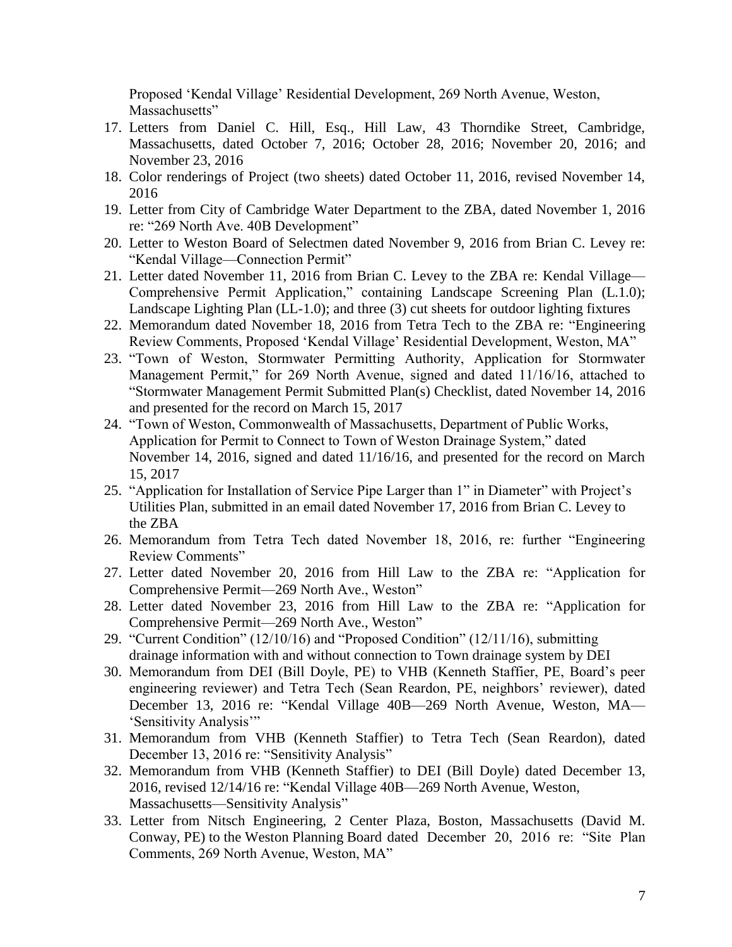Proposed 'Kendal Village' Residential Development, 269 North Avenue, Weston, Massachusetts"

- 17. Letters from Daniel C. Hill, Esq., Hill Law, 43 Thorndike Street, Cambridge, Massachusetts, dated October 7, 2016; October 28, 2016; November 20, 2016; and November 23, 2016
- 18. Color renderings of Project (two sheets) dated October 11, 2016, revised November 14, 2016
- 19. Letter from City of Cambridge Water Department to the ZBA, dated November 1, 2016 re: "269 North Ave. 40B Development"
- 20. Letter to Weston Board of Selectmen dated November 9, 2016 from Brian C. Levey re: "Kendal Village—Connection Permit"
- 21. Letter dated November 11, 2016 from Brian C. Levey to the ZBA re: Kendal Village— Comprehensive Permit Application," containing Landscape Screening Plan (L.1.0); Landscape Lighting Plan (LL-1.0); and three (3) cut sheets for outdoor lighting fixtures
- 22. Memorandum dated November 18, 2016 from Tetra Tech to the ZBA re: "Engineering Review Comments, Proposed 'Kendal Village' Residential Development, Weston, MA"
- 23. "Town of Weston, Stormwater Permitting Authority, Application for Stormwater Management Permit," for 269 North Avenue, signed and dated 11/16/16, attached to "Stormwater Management Permit Submitted Plan(s) Checklist, dated November 14, 2016 and presented for the record on March 15, 2017
- 24. "Town of Weston, Commonwealth of Massachusetts, Department of Public Works, Application for Permit to Connect to Town of Weston Drainage System," dated November 14, 2016, signed and dated 11/16/16, and presented for the record on March 15, 2017
- 25. "Application for Installation of Service Pipe Larger than 1" in Diameter" with Project's Utilities Plan, submitted in an email dated November 17, 2016 from Brian C. Levey to the ZBA
- 26. Memorandum from Tetra Tech dated November 18, 2016, re: further "Engineering Review Comments"
- 27. Letter dated November 20, 2016 from Hill Law to the ZBA re: "Application for Comprehensive Permit—269 North Ave., Weston"
- 28. Letter dated November 23, 2016 from Hill Law to the ZBA re: "Application for Comprehensive Permit—269 North Ave., Weston"
- 29. "Current Condition" (12/10/16) and "Proposed Condition" (12/11/16), submitting drainage information with and without connection to Town drainage system by DEI
- 30. Memorandum from DEI (Bill Doyle, PE) to VHB (Kenneth Staffier, PE, Board's peer engineering reviewer) and Tetra Tech (Sean Reardon, PE, neighbors' reviewer), dated December 13, 2016 re: "Kendal Village 40B—269 North Avenue, Weston, MA— 'Sensitivity Analysis'"
- 31. Memorandum from VHB (Kenneth Staffier) to Tetra Tech (Sean Reardon), dated December 13, 2016 re: "Sensitivity Analysis"
- 32. Memorandum from VHB (Kenneth Staffier) to DEI (Bill Doyle) dated December 13, 2016, revised 12/14/16 re: "Kendal Village 40B—269 North Avenue, Weston, Massachusetts—Sensitivity Analysis"
- 33. Letter from Nitsch Engineering, 2 Center Plaza, Boston, Massachusetts (David M. Conway, PE) to the Weston Planning Board dated December 20, 2016 re: "Site Plan Comments, 269 North Avenue, Weston, MA"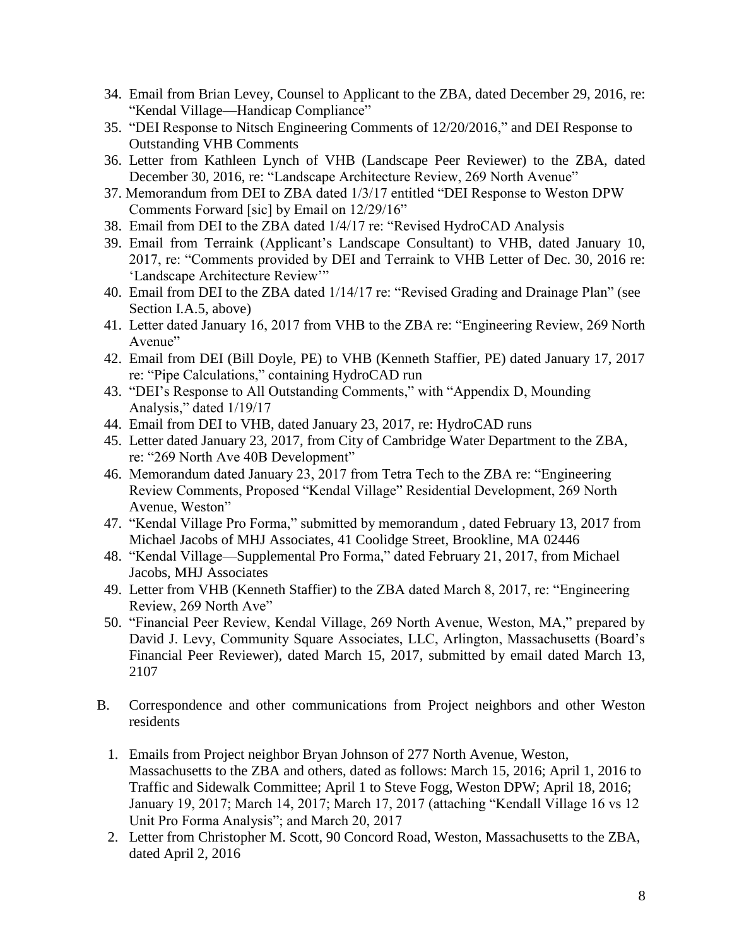- 34. Email from Brian Levey, Counsel to Applicant to the ZBA, dated December 29, 2016, re: "Kendal Village—Handicap Compliance"
- 35. "DEI Response to Nitsch Engineering Comments of 12/20/2016," and DEI Response to Outstanding VHB Comments
- 36. Letter from Kathleen Lynch of VHB (Landscape Peer Reviewer) to the ZBA, dated December 30, 2016, re: "Landscape Architecture Review, 269 North Avenue"
- 37. Memorandum from DEI to ZBA dated 1/3/17 entitled "DEI Response to Weston DPW Comments Forward [sic] by Email on 12/29/16"
- 38. Email from DEI to the ZBA dated 1/4/17 re: "Revised HydroCAD Analysis
- 39. Email from Terraink (Applicant's Landscape Consultant) to VHB, dated January 10, 2017, re: "Comments provided by DEI and Terraink to VHB Letter of Dec. 30, 2016 re: 'Landscape Architecture Review'"
- 40. Email from DEI to the ZBA dated 1/14/17 re: "Revised Grading and Drainage Plan" (see Section I.A.5, above)
- 41. Letter dated January 16, 2017 from VHB to the ZBA re: "Engineering Review, 269 North Avenue"
- 42. Email from DEI (Bill Doyle, PE) to VHB (Kenneth Staffier, PE) dated January 17, 2017 re: "Pipe Calculations," containing HydroCAD run
- 43. "DEI's Response to All Outstanding Comments," with "Appendix D, Mounding Analysis," dated 1/19/17
- 44. Email from DEI to VHB, dated January 23, 2017, re: HydroCAD runs
- 45. Letter dated January 23, 2017, from City of Cambridge Water Department to the ZBA, re: "269 North Ave 40B Development"
- 46. Memorandum dated January 23, 2017 from Tetra Tech to the ZBA re: "Engineering Review Comments, Proposed "Kendal Village" Residential Development, 269 North Avenue, Weston"
- 47. "Kendal Village Pro Forma," submitted by memorandum , dated February 13, 2017 from Michael Jacobs of MHJ Associates, 41 Coolidge Street, Brookline, MA 02446
- 48. "Kendal Village—Supplemental Pro Forma," dated February 21, 2017, from Michael Jacobs, MHJ Associates
- 49. Letter from VHB (Kenneth Staffier) to the ZBA dated March 8, 2017, re: "Engineering Review, 269 North Ave"
- 50. "Financial Peer Review, Kendal Village, 269 North Avenue, Weston, MA," prepared by David J. Levy, Community Square Associates, LLC, Arlington, Massachusetts (Board's Financial Peer Reviewer), dated March 15, 2017, submitted by email dated March 13, 2107
- B. Correspondence and other communications from Project neighbors and other Weston residents
	- 1. Emails from Project neighbor Bryan Johnson of 277 North Avenue, Weston, Massachusetts to the ZBA and others, dated as follows: March 15, 2016; April 1, 2016 to Traffic and Sidewalk Committee; April 1 to Steve Fogg, Weston DPW; April 18, 2016; January 19, 2017; March 14, 2017; March 17, 2017 (attaching "Kendall Village 16 vs 12 Unit Pro Forma Analysis"; and March 20, 2017
	- 2. Letter from Christopher M. Scott, 90 Concord Road, Weston, Massachusetts to the ZBA, dated April 2, 2016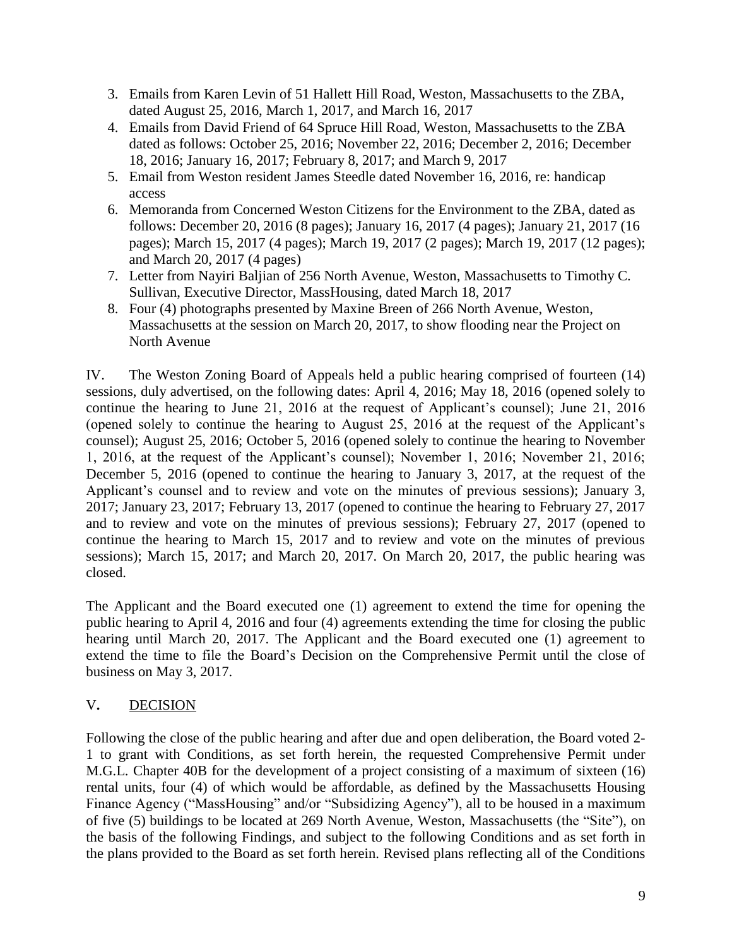- 3. Emails from Karen Levin of 51 Hallett Hill Road, Weston, Massachusetts to the ZBA, dated August 25, 2016, March 1, 2017, and March 16, 2017
- 4. Emails from David Friend of 64 Spruce Hill Road, Weston, Massachusetts to the ZBA dated as follows: October 25, 2016; November 22, 2016; December 2, 2016; December 18, 2016; January 16, 2017; February 8, 2017; and March 9, 2017
- 5. Email from Weston resident James Steedle dated November 16, 2016, re: handicap access
- 6. Memoranda from Concerned Weston Citizens for the Environment to the ZBA, dated as follows: December 20, 2016 (8 pages); January 16, 2017 (4 pages); January 21, 2017 (16 pages); March 15, 2017 (4 pages); March 19, 2017 (2 pages); March 19, 2017 (12 pages); and March 20, 2017 (4 pages)
- 7. Letter from Nayiri Baljian of 256 North Avenue, Weston, Massachusetts to Timothy C. Sullivan, Executive Director, MassHousing, dated March 18, 2017
- 8. Four (4) photographs presented by Maxine Breen of 266 North Avenue, Weston, Massachusetts at the session on March 20, 2017, to show flooding near the Project on North Avenue

IV. The Weston Zoning Board of Appeals held a public hearing comprised of fourteen (14) sessions, duly advertised, on the following dates: April 4, 2016; May 18, 2016 (opened solely to continue the hearing to June 21, 2016 at the request of Applicant's counsel); June 21, 2016 (opened solely to continue the hearing to August 25, 2016 at the request of the Applicant's counsel); August 25, 2016; October 5, 2016 (opened solely to continue the hearing to November 1, 2016, at the request of the Applicant's counsel); November 1, 2016; November 21, 2016; December 5, 2016 (opened to continue the hearing to January 3, 2017, at the request of the Applicant's counsel and to review and vote on the minutes of previous sessions); January 3, 2017; January 23, 2017; February 13, 2017 (opened to continue the hearing to February 27, 2017 and to review and vote on the minutes of previous sessions); February 27, 2017 (opened to continue the hearing to March 15, 2017 and to review and vote on the minutes of previous sessions); March 15, 2017; and March 20, 2017. On March 20, 2017, the public hearing was closed.

The Applicant and the Board executed one (1) agreement to extend the time for opening the public hearing to April 4, 2016 and four (4) agreements extending the time for closing the public hearing until March 20, 2017. The Applicant and the Board executed one (1) agreement to extend the time to file the Board's Decision on the Comprehensive Permit until the close of business on May 3, 2017.

## V**.** DECISION

Following the close of the public hearing and after due and open deliberation, the Board voted 2- 1 to grant with Conditions, as set forth herein, the requested Comprehensive Permit under M.G.L. Chapter 40B for the development of a project consisting of a maximum of sixteen (16) rental units, four (4) of which would be affordable, as defined by the Massachusetts Housing Finance Agency ("MassHousing" and/or "Subsidizing Agency"), all to be housed in a maximum of five (5) buildings to be located at 269 North Avenue, Weston, Massachusetts (the "Site"), on the basis of the following Findings, and subject to the following Conditions and as set forth in the plans provided to the Board as set forth herein. Revised plans reflecting all of the Conditions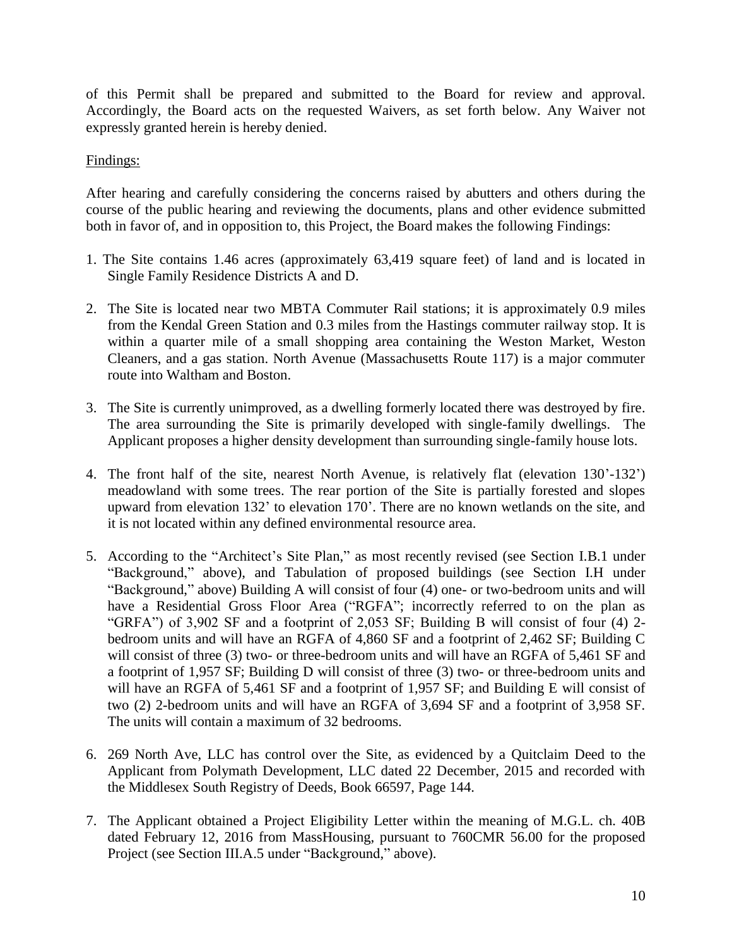of this Permit shall be prepared and submitted to the Board for review and approval. Accordingly, the Board acts on the requested Waivers, as set forth below. Any Waiver not expressly granted herein is hereby denied.

### Findings:

After hearing and carefully considering the concerns raised by abutters and others during the course of the public hearing and reviewing the documents, plans and other evidence submitted both in favor of, and in opposition to, this Project, the Board makes the following Findings:

- 1. The Site contains 1.46 acres (approximately 63,419 square feet) of land and is located in Single Family Residence Districts A and D.
- 2. The Site is located near two MBTA Commuter Rail stations; it is approximately 0.9 miles from the Kendal Green Station and 0.3 miles from the Hastings commuter railway stop. It is within a quarter mile of a small shopping area containing the Weston Market, Weston Cleaners, and a gas station. North Avenue (Massachusetts Route 117) is a major commuter route into Waltham and Boston.
- 3. The Site is currently unimproved, as a dwelling formerly located there was destroyed by fire. The area surrounding the Site is primarily developed with single-family dwellings. The Applicant proposes a higher density development than surrounding single-family house lots.
- 4. The front half of the site, nearest North Avenue, is relatively flat (elevation 130'-132') meadowland with some trees. The rear portion of the Site is partially forested and slopes upward from elevation 132' to elevation 170'. There are no known wetlands on the site, and it is not located within any defined environmental resource area.
- 5. According to the "Architect's Site Plan," as most recently revised (see Section I.B.1 under "Background," above), and Tabulation of proposed buildings (see Section I.H under "Background," above) Building A will consist of four (4) one- or two-bedroom units and will have a Residential Gross Floor Area ("RGFA"; incorrectly referred to on the plan as "GRFA") of 3,902 SF and a footprint of 2,053 SF; Building B will consist of four (4) 2 bedroom units and will have an RGFA of 4,860 SF and a footprint of 2,462 SF; Building C will consist of three (3) two- or three-bedroom units and will have an RGFA of 5,461 SF and a footprint of 1,957 SF; Building D will consist of three (3) two- or three-bedroom units and will have an RGFA of 5,461 SF and a footprint of 1,957 SF; and Building E will consist of two (2) 2-bedroom units and will have an RGFA of 3,694 SF and a footprint of 3,958 SF. The units will contain a maximum of 32 bedrooms.
- 6. 269 North Ave, LLC has control over the Site, as evidenced by a Quitclaim Deed to the Applicant from Polymath Development, LLC dated 22 December, 2015 and recorded with the Middlesex South Registry of Deeds, Book 66597, Page 144.
- 7. The Applicant obtained a Project Eligibility Letter within the meaning of M.G.L. ch. 40B dated February 12, 2016 from MassHousing, pursuant to 760CMR 56.00 for the proposed Project (see Section III.A.5 under "Background," above).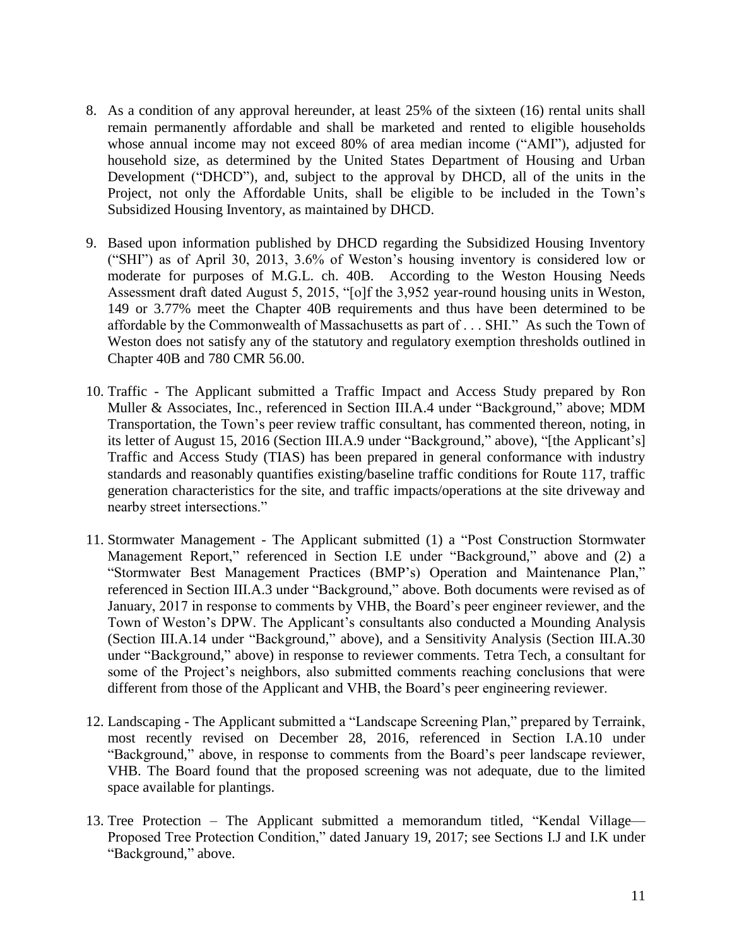- 8. As a condition of any approval hereunder, at least 25% of the sixteen (16) rental units shall remain permanently affordable and shall be marketed and rented to eligible households whose annual income may not exceed 80% of area median income ("AMI"), adjusted for household size, as determined by the United States Department of Housing and Urban Development ("DHCD"), and, subject to the approval by DHCD, all of the units in the Project, not only the Affordable Units, shall be eligible to be included in the Town's Subsidized Housing Inventory, as maintained by DHCD.
- 9. Based upon information published by DHCD regarding the Subsidized Housing Inventory ("SHI") as of April 30, 2013, 3.6% of Weston's housing inventory is considered low or moderate for purposes of M.G.L. ch. 40B. According to the Weston Housing Needs Assessment draft dated August 5, 2015, "[o]f the 3,952 year-round housing units in Weston, 149 or 3.77% meet the Chapter 40B requirements and thus have been determined to be affordable by the Commonwealth of Massachusetts as part of . . . SHI." As such the Town of Weston does not satisfy any of the statutory and regulatory exemption thresholds outlined in Chapter 40B and 780 CMR 56.00.
- 10. Traffic The Applicant submitted a Traffic Impact and Access Study prepared by Ron Muller & Associates, Inc., referenced in Section III.A.4 under "Background," above; MDM Transportation, the Town's peer review traffic consultant, has commented thereon, noting, in its letter of August 15, 2016 (Section III.A.9 under "Background," above), "[the Applicant's] Traffic and Access Study (TIAS) has been prepared in general conformance with industry standards and reasonably quantifies existing/baseline traffic conditions for Route 117, traffic generation characteristics for the site, and traffic impacts/operations at the site driveway and nearby street intersections."
- 11. Stormwater Management The Applicant submitted (1) a "Post Construction Stormwater Management Report," referenced in Section I.E under "Background," above and (2) a "Stormwater Best Management Practices (BMP's) Operation and Maintenance Plan," referenced in Section III.A.3 under "Background," above. Both documents were revised as of January, 2017 in response to comments by VHB, the Board's peer engineer reviewer, and the Town of Weston's DPW. The Applicant's consultants also conducted a Mounding Analysis (Section III.A.14 under "Background," above), and a Sensitivity Analysis (Section III.A.30 under "Background," above) in response to reviewer comments. Tetra Tech, a consultant for some of the Project's neighbors, also submitted comments reaching conclusions that were different from those of the Applicant and VHB, the Board's peer engineering reviewer.
- 12. Landscaping The Applicant submitted a "Landscape Screening Plan," prepared by Terraink, most recently revised on December 28, 2016, referenced in Section I.A.10 under "Background," above, in response to comments from the Board's peer landscape reviewer, VHB. The Board found that the proposed screening was not adequate, due to the limited space available for plantings.
- 13. Tree Protection The Applicant submitted a memorandum titled, "Kendal Village— Proposed Tree Protection Condition," dated January 19, 2017; see Sections I.J and I.K under "Background," above.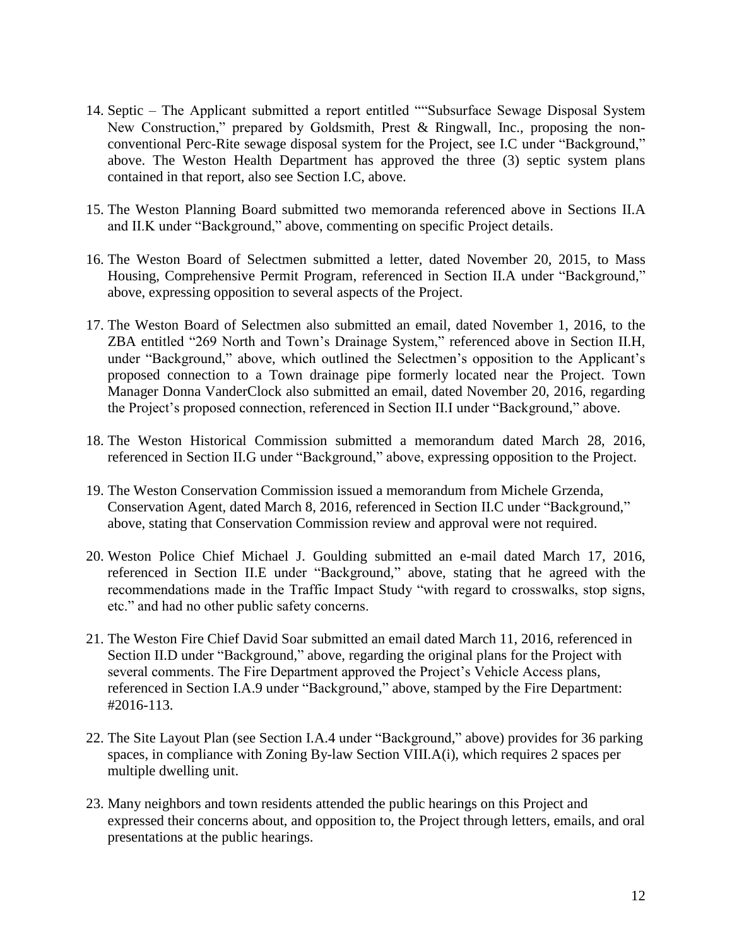- 14. Septic The Applicant submitted a report entitled ""Subsurface Sewage Disposal System New Construction," prepared by Goldsmith, Prest & Ringwall, Inc., proposing the nonconventional Perc-Rite sewage disposal system for the Project, see I.C under "Background," above. The Weston Health Department has approved the three (3) septic system plans contained in that report, also see Section I.C, above.
- 15. The Weston Planning Board submitted two memoranda referenced above in Sections II.A and II.K under "Background," above, commenting on specific Project details.
- 16. The Weston Board of Selectmen submitted a letter, dated November 20, 2015, to Mass Housing, Comprehensive Permit Program, referenced in Section II.A under "Background," above, expressing opposition to several aspects of the Project.
- 17. The Weston Board of Selectmen also submitted an email, dated November 1, 2016, to the ZBA entitled "269 North and Town's Drainage System," referenced above in Section II.H, under "Background," above, which outlined the Selectmen's opposition to the Applicant's proposed connection to a Town drainage pipe formerly located near the Project. Town Manager Donna VanderClock also submitted an email, dated November 20, 2016, regarding the Project's proposed connection, referenced in Section II.I under "Background," above.
- 18. The Weston Historical Commission submitted a memorandum dated March 28, 2016, referenced in Section II.G under "Background," above, expressing opposition to the Project.
- 19. The Weston Conservation Commission issued a memorandum from Michele Grzenda, Conservation Agent, dated March 8, 2016, referenced in Section II.C under "Background," above, stating that Conservation Commission review and approval were not required.
- 20. Weston Police Chief Michael J. Goulding submitted an e-mail dated March 17, 2016, referenced in Section II.E under "Background," above, stating that he agreed with the recommendations made in the Traffic Impact Study "with regard to crosswalks, stop signs, etc." and had no other public safety concerns.
- 21. The Weston Fire Chief David Soar submitted an email dated March 11, 2016, referenced in Section II.D under "Background," above, regarding the original plans for the Project with several comments. The Fire Department approved the Project's Vehicle Access plans, referenced in Section I.A.9 under "Background," above, stamped by the Fire Department: #2016-113.
- 22. The Site Layout Plan (see Section I.A.4 under "Background," above) provides for 36 parking spaces, in compliance with Zoning By-law Section VIII.A(i), which requires 2 spaces per multiple dwelling unit.
- 23. Many neighbors and town residents attended the public hearings on this Project and expressed their concerns about, and opposition to, the Project through letters, emails, and oral presentations at the public hearings.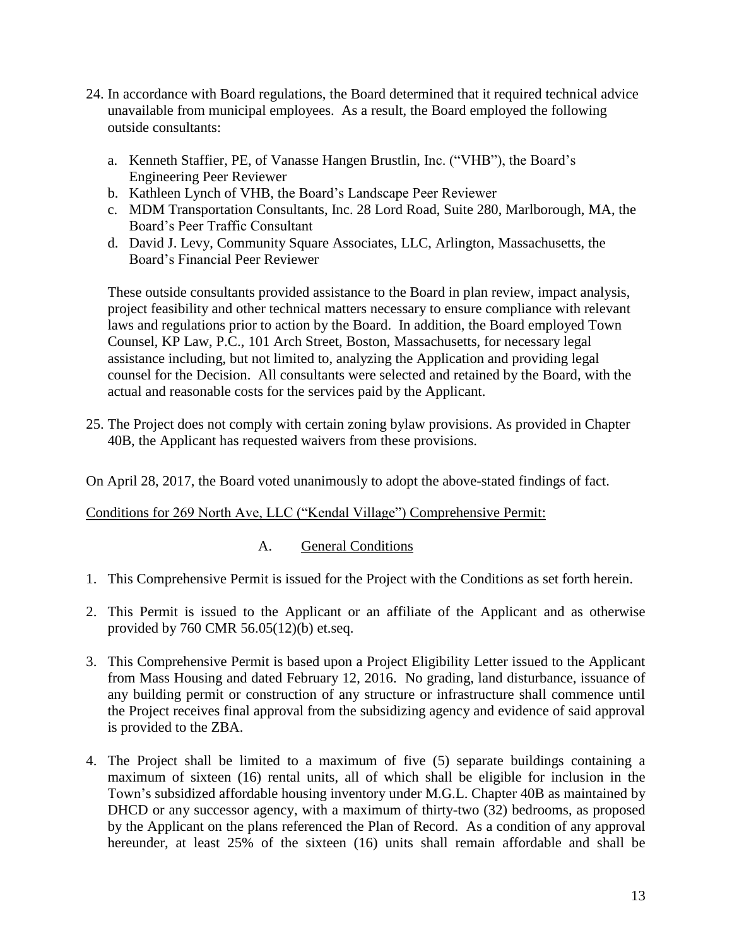- 24. In accordance with Board regulations, the Board determined that it required technical advice unavailable from municipal employees. As a result, the Board employed the following outside consultants:
	- a. Kenneth Staffier, PE, of Vanasse Hangen Brustlin, Inc. ("VHB"), the Board's Engineering Peer Reviewer
	- b. Kathleen Lynch of VHB, the Board's Landscape Peer Reviewer
	- c. MDM Transportation Consultants, Inc. 28 Lord Road, Suite 280, Marlborough, MA, the Board's Peer Traffic Consultant
	- d. David J. Levy, Community Square Associates, LLC, Arlington, Massachusetts, the Board's Financial Peer Reviewer

These outside consultants provided assistance to the Board in plan review, impact analysis, project feasibility and other technical matters necessary to ensure compliance with relevant laws and regulations prior to action by the Board. In addition, the Board employed Town Counsel, KP Law, P.C., 101 Arch Street, Boston, Massachusetts, for necessary legal assistance including, but not limited to, analyzing the Application and providing legal counsel for the Decision. All consultants were selected and retained by the Board, with the actual and reasonable costs for the services paid by the Applicant.

25. The Project does not comply with certain zoning bylaw provisions. As provided in Chapter 40B, the Applicant has requested waivers from these provisions.

On April 28, 2017, the Board voted unanimously to adopt the above-stated findings of fact.

## Conditions for 269 North Ave, LLC ("Kendal Village") Comprehensive Permit:

## A. General Conditions

- 1. This Comprehensive Permit is issued for the Project with the Conditions as set forth herein.
- 2. This Permit is issued to the Applicant or an affiliate of the Applicant and as otherwise provided by 760 CMR 56.05(12)(b) et.seq.
- 3. This Comprehensive Permit is based upon a Project Eligibility Letter issued to the Applicant from Mass Housing and dated February 12, 2016. No grading, land disturbance, issuance of any building permit or construction of any structure or infrastructure shall commence until the Project receives final approval from the subsidizing agency and evidence of said approval is provided to the ZBA.
- 4. The Project shall be limited to a maximum of five (5) separate buildings containing a maximum of sixteen (16) rental units, all of which shall be eligible for inclusion in the Town's subsidized affordable housing inventory under M.G.L. Chapter 40B as maintained by DHCD or any successor agency, with a maximum of thirty-two (32) bedrooms, as proposed by the Applicant on the plans referenced the Plan of Record. As a condition of any approval hereunder, at least 25% of the sixteen (16) units shall remain affordable and shall be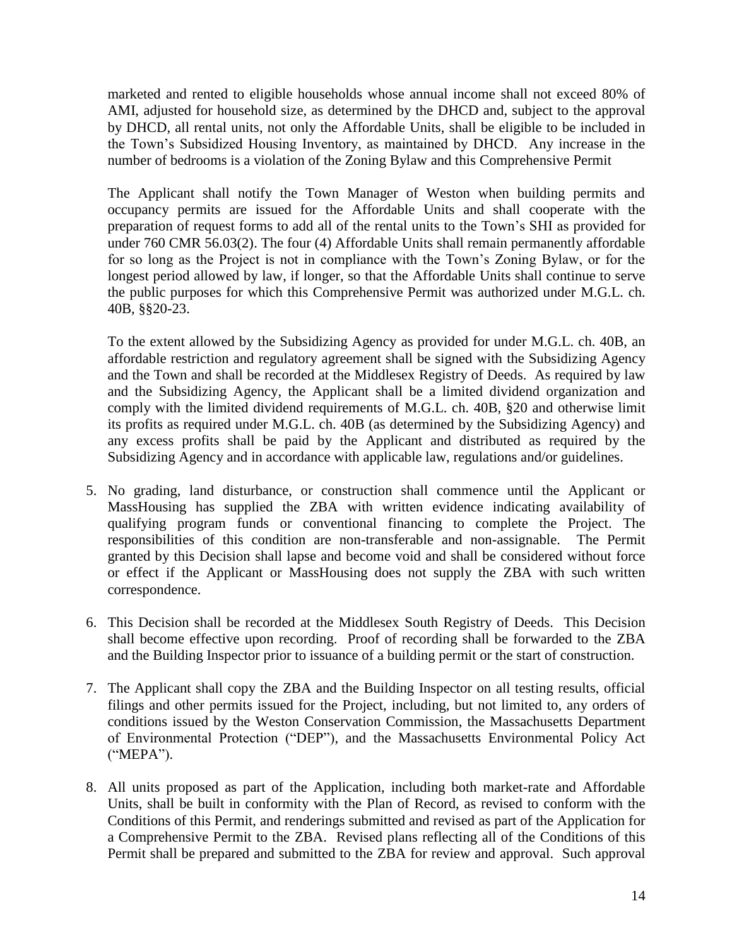marketed and rented to eligible households whose annual income shall not exceed 80% of AMI, adjusted for household size, as determined by the DHCD and, subject to the approval by DHCD, all rental units, not only the Affordable Units, shall be eligible to be included in the Town's Subsidized Housing Inventory, as maintained by DHCD. Any increase in the number of bedrooms is a violation of the Zoning Bylaw and this Comprehensive Permit

The Applicant shall notify the Town Manager of Weston when building permits and occupancy permits are issued for the Affordable Units and shall cooperate with the preparation of request forms to add all of the rental units to the Town's SHI as provided for under 760 CMR 56.03(2). The four (4) Affordable Units shall remain permanently affordable for so long as the Project is not in compliance with the Town's Zoning Bylaw, or for the longest period allowed by law, if longer, so that the Affordable Units shall continue to serve the public purposes for which this Comprehensive Permit was authorized under M.G.L. ch. 40B, §§20-23.

To the extent allowed by the Subsidizing Agency as provided for under M.G.L. ch. 40B, an affordable restriction and regulatory agreement shall be signed with the Subsidizing Agency and the Town and shall be recorded at the Middlesex Registry of Deeds. As required by law and the Subsidizing Agency, the Applicant shall be a limited dividend organization and comply with the limited dividend requirements of M.G.L. ch. 40B, §20 and otherwise limit its profits as required under M.G.L. ch. 40B (as determined by the Subsidizing Agency) and any excess profits shall be paid by the Applicant and distributed as required by the Subsidizing Agency and in accordance with applicable law, regulations and/or guidelines.

- 5. No grading, land disturbance, or construction shall commence until the Applicant or MassHousing has supplied the ZBA with written evidence indicating availability of qualifying program funds or conventional financing to complete the Project. The responsibilities of this condition are non-transferable and non-assignable. The Permit granted by this Decision shall lapse and become void and shall be considered without force or effect if the Applicant or MassHousing does not supply the ZBA with such written correspondence.
- 6. This Decision shall be recorded at the Middlesex South Registry of Deeds. This Decision shall become effective upon recording. Proof of recording shall be forwarded to the ZBA and the Building Inspector prior to issuance of a building permit or the start of construction.
- 7. The Applicant shall copy the ZBA and the Building Inspector on all testing results, official filings and other permits issued for the Project, including, but not limited to, any orders of conditions issued by the Weston Conservation Commission, the Massachusetts Department of Environmental Protection ("DEP"), and the Massachusetts Environmental Policy Act ("MEPA").
- 8. All units proposed as part of the Application, including both market-rate and Affordable Units, shall be built in conformity with the Plan of Record, as revised to conform with the Conditions of this Permit, and renderings submitted and revised as part of the Application for a Comprehensive Permit to the ZBA. Revised plans reflecting all of the Conditions of this Permit shall be prepared and submitted to the ZBA for review and approval. Such approval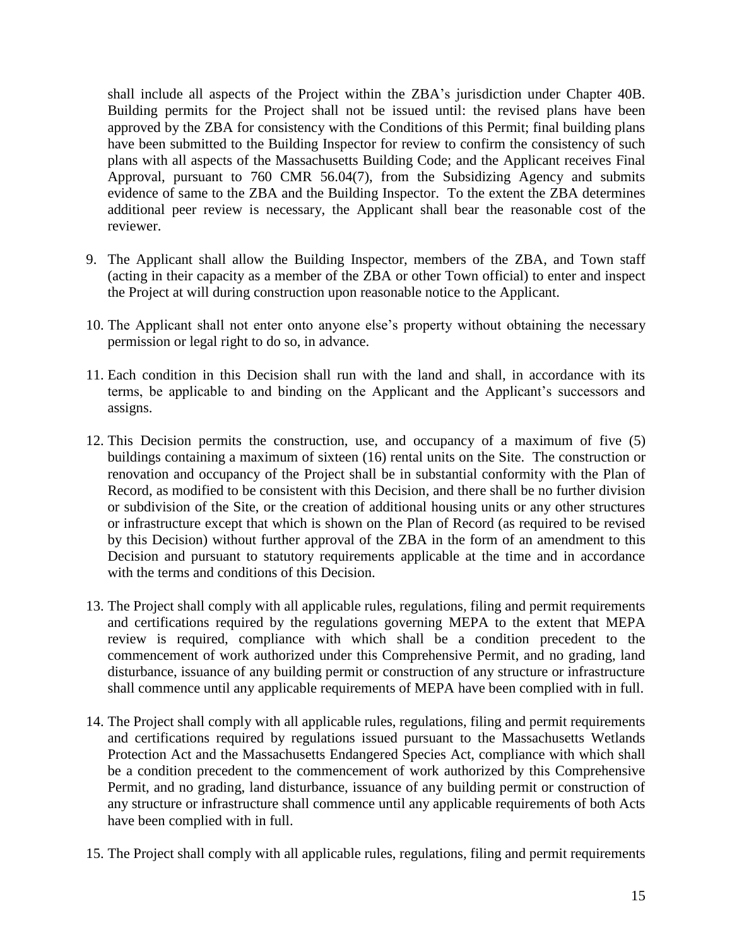shall include all aspects of the Project within the ZBA's jurisdiction under Chapter 40B. Building permits for the Project shall not be issued until: the revised plans have been approved by the ZBA for consistency with the Conditions of this Permit; final building plans have been submitted to the Building Inspector for review to confirm the consistency of such plans with all aspects of the Massachusetts Building Code; and the Applicant receives Final Approval, pursuant to 760 CMR 56.04(7), from the Subsidizing Agency and submits evidence of same to the ZBA and the Building Inspector. To the extent the ZBA determines additional peer review is necessary, the Applicant shall bear the reasonable cost of the reviewer.

- 9. The Applicant shall allow the Building Inspector, members of the ZBA, and Town staff (acting in their capacity as a member of the ZBA or other Town official) to enter and inspect the Project at will during construction upon reasonable notice to the Applicant.
- 10. The Applicant shall not enter onto anyone else's property without obtaining the necessary permission or legal right to do so, in advance.
- 11. Each condition in this Decision shall run with the land and shall, in accordance with its terms, be applicable to and binding on the Applicant and the Applicant's successors and assigns.
- 12. This Decision permits the construction, use, and occupancy of a maximum of five (5) buildings containing a maximum of sixteen (16) rental units on the Site. The construction or renovation and occupancy of the Project shall be in substantial conformity with the Plan of Record, as modified to be consistent with this Decision, and there shall be no further division or subdivision of the Site, or the creation of additional housing units or any other structures or infrastructure except that which is shown on the Plan of Record (as required to be revised by this Decision) without further approval of the ZBA in the form of an amendment to this Decision and pursuant to statutory requirements applicable at the time and in accordance with the terms and conditions of this Decision.
- 13. The Project shall comply with all applicable rules, regulations, filing and permit requirements and certifications required by the regulations governing MEPA to the extent that MEPA review is required, compliance with which shall be a condition precedent to the commencement of work authorized under this Comprehensive Permit, and no grading, land disturbance, issuance of any building permit or construction of any structure or infrastructure shall commence until any applicable requirements of MEPA have been complied with in full.
- 14. The Project shall comply with all applicable rules, regulations, filing and permit requirements and certifications required by regulations issued pursuant to the Massachusetts Wetlands Protection Act and the Massachusetts Endangered Species Act, compliance with which shall be a condition precedent to the commencement of work authorized by this Comprehensive Permit, and no grading, land disturbance, issuance of any building permit or construction of any structure or infrastructure shall commence until any applicable requirements of both Acts have been complied with in full.
- 15. The Project shall comply with all applicable rules, regulations, filing and permit requirements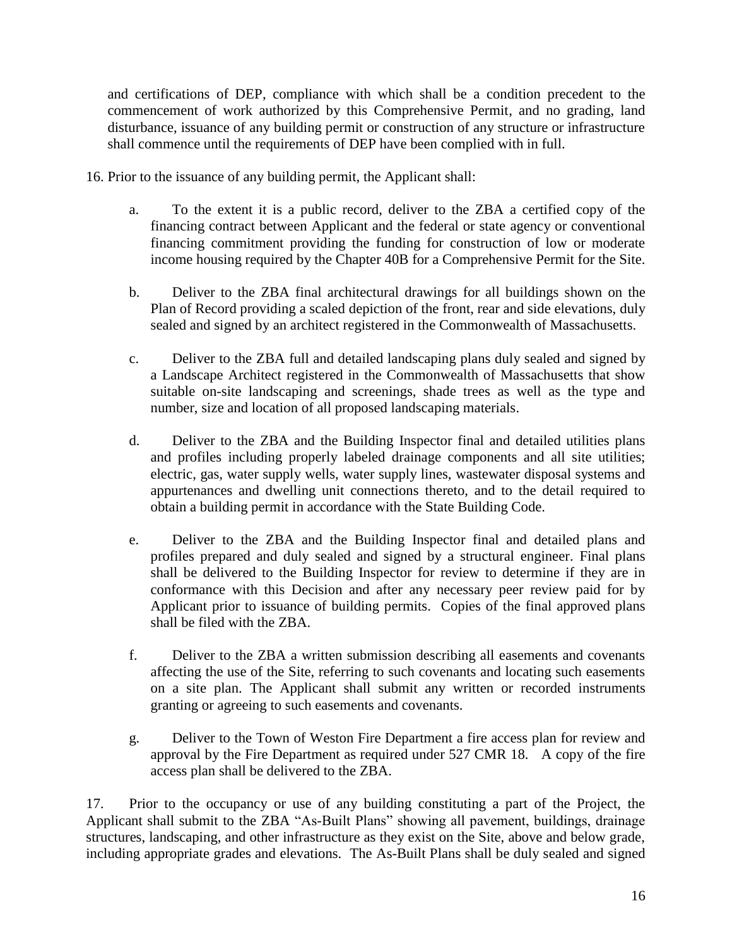and certifications of DEP, compliance with which shall be a condition precedent to the commencement of work authorized by this Comprehensive Permit, and no grading, land disturbance, issuance of any building permit or construction of any structure or infrastructure shall commence until the requirements of DEP have been complied with in full.

- 16. Prior to the issuance of any building permit, the Applicant shall:
	- a. To the extent it is a public record, deliver to the ZBA a certified copy of the financing contract between Applicant and the federal or state agency or conventional financing commitment providing the funding for construction of low or moderate income housing required by the Chapter 40B for a Comprehensive Permit for the Site.
	- b. Deliver to the ZBA final architectural drawings for all buildings shown on the Plan of Record providing a scaled depiction of the front, rear and side elevations, duly sealed and signed by an architect registered in the Commonwealth of Massachusetts.
	- c. Deliver to the ZBA full and detailed landscaping plans duly sealed and signed by a Landscape Architect registered in the Commonwealth of Massachusetts that show suitable on-site landscaping and screenings, shade trees as well as the type and number, size and location of all proposed landscaping materials.
	- d. Deliver to the ZBA and the Building Inspector final and detailed utilities plans and profiles including properly labeled drainage components and all site utilities; electric, gas, water supply wells, water supply lines, wastewater disposal systems and appurtenances and dwelling unit connections thereto, and to the detail required to obtain a building permit in accordance with the State Building Code.
	- e. Deliver to the ZBA and the Building Inspector final and detailed plans and profiles prepared and duly sealed and signed by a structural engineer. Final plans shall be delivered to the Building Inspector for review to determine if they are in conformance with this Decision and after any necessary peer review paid for by Applicant prior to issuance of building permits. Copies of the final approved plans shall be filed with the ZBA.
	- f. Deliver to the ZBA a written submission describing all easements and covenants affecting the use of the Site, referring to such covenants and locating such easements on a site plan. The Applicant shall submit any written or recorded instruments granting or agreeing to such easements and covenants.
	- g. Deliver to the Town of Weston Fire Department a fire access plan for review and approval by the Fire Department as required under 527 CMR 18. A copy of the fire access plan shall be delivered to the ZBA.

17. Prior to the occupancy or use of any building constituting a part of the Project, the Applicant shall submit to the ZBA "As-Built Plans" showing all pavement, buildings, drainage structures, landscaping, and other infrastructure as they exist on the Site, above and below grade, including appropriate grades and elevations. The As-Built Plans shall be duly sealed and signed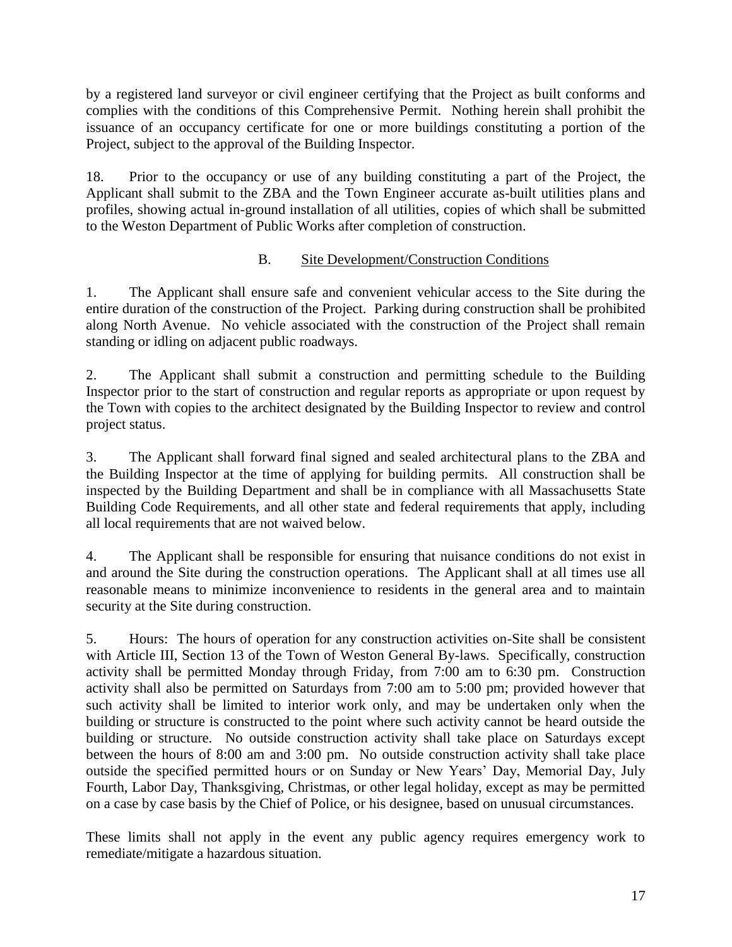by a registered land surveyor or civil engineer certifying that the Project as built conforms and complies with the conditions of this Comprehensive Permit. Nothing herein shall prohibit the issuance of an occupancy certificate for one or more buildings constituting a portion of the Project, subject to the approval of the Building Inspector.

18. Prior to the occupancy or use of any building constituting a part of the Project, the Applicant shall submit to the ZBA and the Town Engineer accurate as-built utilities plans and profiles, showing actual in-ground installation of all utilities, copies of which shall be submitted to the Weston Department of Public Works after completion of construction.

## B. Site Development/Construction Conditions

1. The Applicant shall ensure safe and convenient vehicular access to the Site during the entire duration of the construction of the Project. Parking during construction shall be prohibited along North Avenue. No vehicle associated with the construction of the Project shall remain standing or idling on adjacent public roadways.

2. The Applicant shall submit a construction and permitting schedule to the Building Inspector prior to the start of construction and regular reports as appropriate or upon request by the Town with copies to the architect designated by the Building Inspector to review and control project status.

3. The Applicant shall forward final signed and sealed architectural plans to the ZBA and the Building Inspector at the time of applying for building permits. All construction shall be inspected by the Building Department and shall be in compliance with all Massachusetts State Building Code Requirements, and all other state and federal requirements that apply, including all local requirements that are not waived below.

4. The Applicant shall be responsible for ensuring that nuisance conditions do not exist in and around the Site during the construction operations. The Applicant shall at all times use all reasonable means to minimize inconvenience to residents in the general area and to maintain security at the Site during construction.

5. Hours: The hours of operation for any construction activities on-Site shall be consistent with Article III, Section 13 of the Town of Weston General By-laws. Specifically, construction activity shall be permitted Monday through Friday, from 7:00 am to 6:30 pm. Construction activity shall also be permitted on Saturdays from 7:00 am to 5:00 pm; provided however that such activity shall be limited to interior work only, and may be undertaken only when the building or structure is constructed to the point where such activity cannot be heard outside the building or structure. No outside construction activity shall take place on Saturdays except between the hours of 8:00 am and 3:00 pm. No outside construction activity shall take place outside the specified permitted hours or on Sunday or New Years' Day, Memorial Day, July Fourth, Labor Day, Thanksgiving, Christmas, or other legal holiday, except as may be permitted on a case by case basis by the Chief of Police, or his designee, based on unusual circumstances.

These limits shall not apply in the event any public agency requires emergency work to remediate/mitigate a hazardous situation.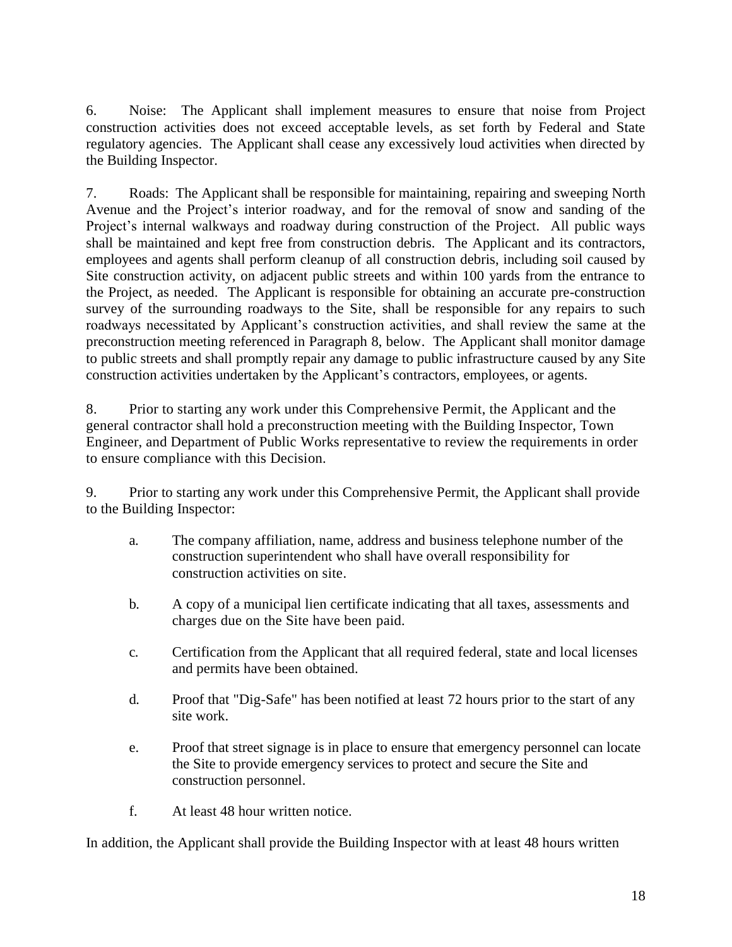6. Noise: The Applicant shall implement measures to ensure that noise from Project construction activities does not exceed acceptable levels, as set forth by Federal and State regulatory agencies. The Applicant shall cease any excessively loud activities when directed by the Building Inspector.

7. Roads: The Applicant shall be responsible for maintaining, repairing and sweeping North Avenue and the Project's interior roadway, and for the removal of snow and sanding of the Project's internal walkways and roadway during construction of the Project. All public ways shall be maintained and kept free from construction debris. The Applicant and its contractors, employees and agents shall perform cleanup of all construction debris, including soil caused by Site construction activity, on adjacent public streets and within 100 yards from the entrance to the Project, as needed. The Applicant is responsible for obtaining an accurate pre-construction survey of the surrounding roadways to the Site, shall be responsible for any repairs to such roadways necessitated by Applicant's construction activities, and shall review the same at the preconstruction meeting referenced in Paragraph 8, below. The Applicant shall monitor damage to public streets and shall promptly repair any damage to public infrastructure caused by any Site construction activities undertaken by the Applicant's contractors, employees, or agents.

8. Prior to starting any work under this Comprehensive Permit, the Applicant and the general contractor shall hold a preconstruction meeting with the Building Inspector, Town Engineer, and Department of Public Works representative to review the requirements in order to ensure compliance with this Decision.

9. Prior to starting any work under this Comprehensive Permit, the Applicant shall provide to the Building Inspector:

- a. The company affiliation, name, address and business telephone number of the construction superintendent who shall have overall responsibility for construction activities on site.
- b. A copy of a municipal lien certificate indicating that all taxes, assessments and charges due on the Site have been paid.
- c. Certification from the Applicant that all required federal, state and local licenses and permits have been obtained.
- d. Proof that "Dig-Safe" has been notified at least 72 hours prior to the start of any site work.
- e. Proof that street signage is in place to ensure that emergency personnel can locate the Site to provide emergency services to protect and secure the Site and construction personnel.
- f. At least 48 hour written notice.

In addition, the Applicant shall provide the Building Inspector with at least 48 hours written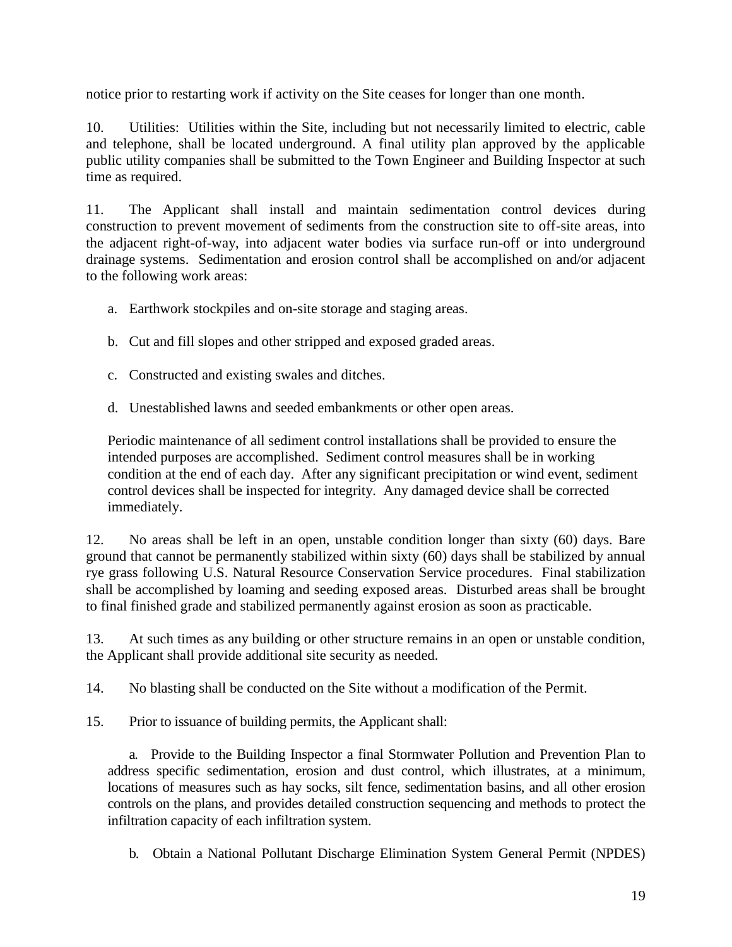notice prior to restarting work if activity on the Site ceases for longer than one month.

10. Utilities: Utilities within the Site, including but not necessarily limited to electric, cable and telephone, shall be located underground. A final utility plan approved by the applicable public utility companies shall be submitted to the Town Engineer and Building Inspector at such time as required.

11. The Applicant shall install and maintain sedimentation control devices during construction to prevent movement of sediments from the construction site to off-site areas, into the adjacent right-of-way, into adjacent water bodies via surface run-off or into underground drainage systems. Sedimentation and erosion control shall be accomplished on and/or adjacent to the following work areas:

- a. Earthwork stockpiles and on-site storage and staging areas.
- b. Cut and fill slopes and other stripped and exposed graded areas.
- c. Constructed and existing swales and ditches.
- d. Unestablished lawns and seeded embankments or other open areas.

Periodic maintenance of all sediment control installations shall be provided to ensure the intended purposes are accomplished. Sediment control measures shall be in working condition at the end of each day. After any significant precipitation or wind event, sediment control devices shall be inspected for integrity. Any damaged device shall be corrected immediately.

12. No areas shall be left in an open, unstable condition longer than sixty (60) days. Bare ground that cannot be permanently stabilized within sixty (60) days shall be stabilized by annual rye grass following U.S. Natural Resource Conservation Service procedures. Final stabilization shall be accomplished by loaming and seeding exposed areas. Disturbed areas shall be brought to final finished grade and stabilized permanently against erosion as soon as practicable.

13. At such times as any building or other structure remains in an open or unstable condition, the Applicant shall provide additional site security as needed.

14. No blasting shall be conducted on the Site without a modification of the Permit.

15. Prior to issuance of building permits, the Applicant shall:

a. Provide to the Building Inspector a final Stormwater Pollution and Prevention Plan to address specific sedimentation, erosion and dust control, which illustrates, at a minimum, locations of measures such as hay socks, silt fence, sedimentation basins, and all other erosion controls on the plans, and provides detailed construction sequencing and methods to protect the infiltration capacity of each infiltration system.

b. Obtain a National Pollutant Discharge Elimination System General Permit (NPDES)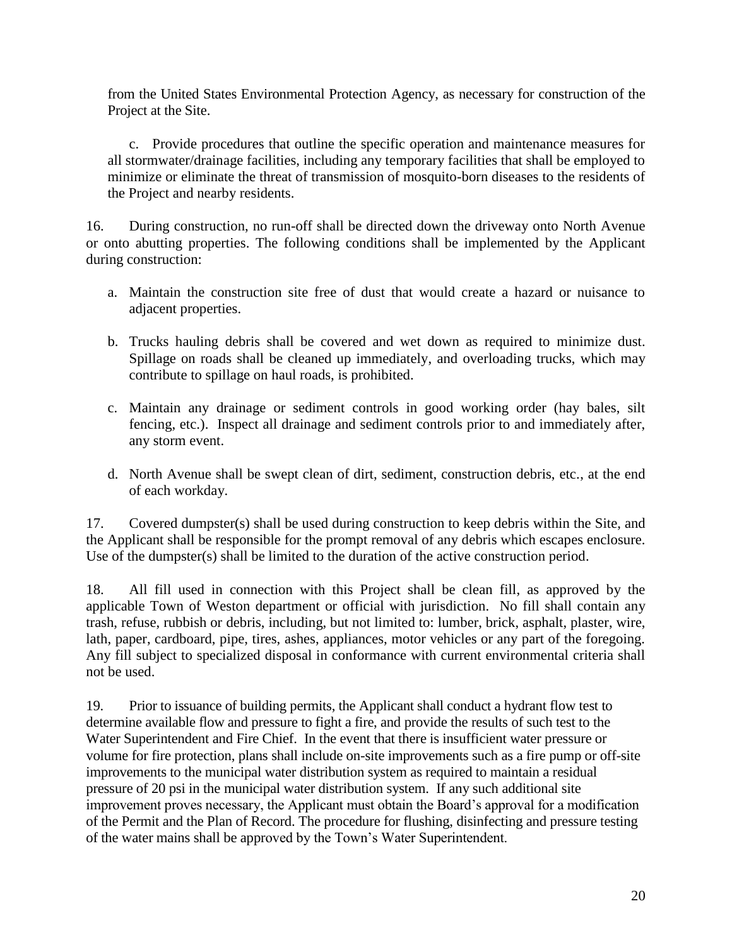from the United States Environmental Protection Agency, as necessary for construction of the Project at the Site.

c. Provide procedures that outline the specific operation and maintenance measures for all stormwater/drainage facilities, including any temporary facilities that shall be employed to minimize or eliminate the threat of transmission of mosquito-born diseases to the residents of the Project and nearby residents.

16. During construction, no run-off shall be directed down the driveway onto North Avenue or onto abutting properties. The following conditions shall be implemented by the Applicant during construction:

- a. Maintain the construction site free of dust that would create a hazard or nuisance to adjacent properties.
- b. Trucks hauling debris shall be covered and wet down as required to minimize dust. Spillage on roads shall be cleaned up immediately, and overloading trucks, which may contribute to spillage on haul roads, is prohibited.
- c. Maintain any drainage or sediment controls in good working order (hay bales, silt fencing, etc.). Inspect all drainage and sediment controls prior to and immediately after, any storm event.
- d. North Avenue shall be swept clean of dirt, sediment, construction debris, etc., at the end of each workday.

17. Covered dumpster(s) shall be used during construction to keep debris within the Site, and the Applicant shall be responsible for the prompt removal of any debris which escapes enclosure. Use of the dumpster(s) shall be limited to the duration of the active construction period.

18. All fill used in connection with this Project shall be clean fill, as approved by the applicable Town of Weston department or official with jurisdiction. No fill shall contain any trash, refuse, rubbish or debris, including, but not limited to: lumber, brick, asphalt, plaster, wire, lath, paper, cardboard, pipe, tires, ashes, appliances, motor vehicles or any part of the foregoing. Any fill subject to specialized disposal in conformance with current environmental criteria shall not be used.

19. Prior to issuance of building permits, the Applicant shall conduct a hydrant flow test to determine available flow and pressure to fight a fire, and provide the results of such test to the Water Superintendent and Fire Chief. In the event that there is insufficient water pressure or volume for fire protection, plans shall include on-site improvements such as a fire pump or off-site improvements to the municipal water distribution system as required to maintain a residual pressure of 20 psi in the municipal water distribution system. If any such additional site improvement proves necessary, the Applicant must obtain the Board's approval for a modification of the Permit and the Plan of Record. The procedure for flushing, disinfecting and pressure testing of the water mains shall be approved by the Town's Water Superintendent.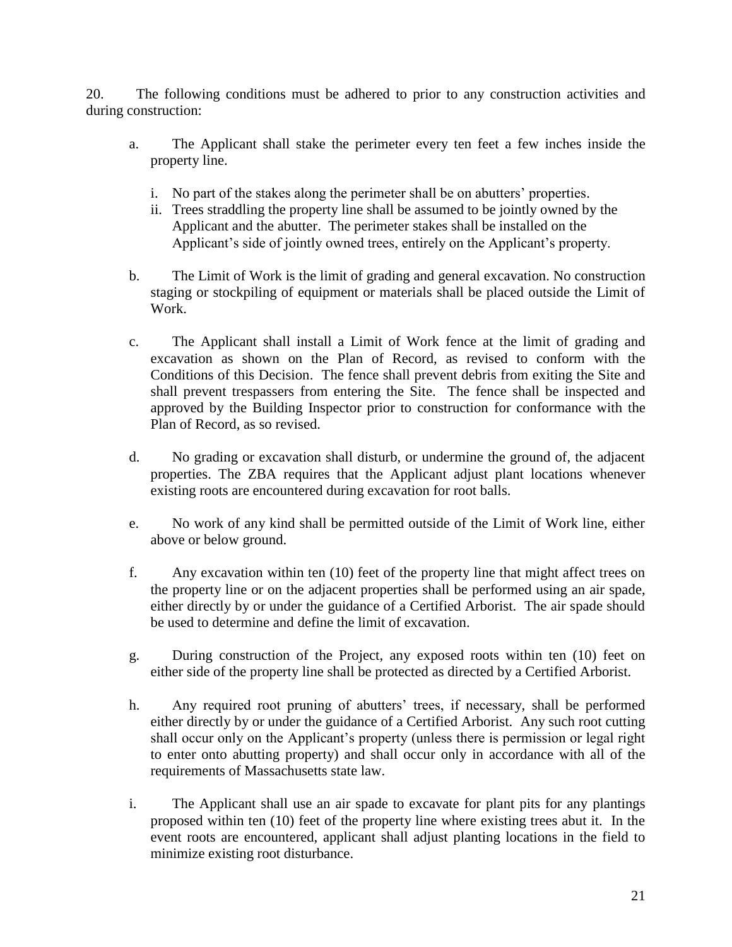20. The following conditions must be adhered to prior to any construction activities and during construction:

- a. The Applicant shall stake the perimeter every ten feet a few inches inside the property line.
	- i. No part of the stakes along the perimeter shall be on abutters' properties.
	- ii. Trees straddling the property line shall be assumed to be jointly owned by the Applicant and the abutter. The perimeter stakes shall be installed on the Applicant's side of jointly owned trees, entirely on the Applicant's property.
- b. The Limit of Work is the limit of grading and general excavation. No construction staging or stockpiling of equipment or materials shall be placed outside the Limit of Work.
- c. The Applicant shall install a Limit of Work fence at the limit of grading and excavation as shown on the Plan of Record, as revised to conform with the Conditions of this Decision. The fence shall prevent debris from exiting the Site and shall prevent trespassers from entering the Site. The fence shall be inspected and approved by the Building Inspector prior to construction for conformance with the Plan of Record, as so revised.
- d. No grading or excavation shall disturb, or undermine the ground of, the adjacent properties. The ZBA requires that the Applicant adjust plant locations whenever existing roots are encountered during excavation for root balls.
- e. No work of any kind shall be permitted outside of the Limit of Work line, either above or below ground.
- f. Any excavation within ten (10) feet of the property line that might affect trees on the property line or on the adjacent properties shall be performed using an air spade, either directly by or under the guidance of a Certified Arborist. The air spade should be used to determine and define the limit of excavation.
- g. During construction of the Project, any exposed roots within ten (10) feet on either side of the property line shall be protected as directed by a Certified Arborist.
- h. Any required root pruning of abutters' trees, if necessary, shall be performed either directly by or under the guidance of a Certified Arborist. Any such root cutting shall occur only on the Applicant's property (unless there is permission or legal right to enter onto abutting property) and shall occur only in accordance with all of the requirements of Massachusetts state law.
- i. The Applicant shall use an air spade to excavate for plant pits for any plantings proposed within ten (10) feet of the property line where existing trees abut it. In the event roots are encountered, applicant shall adjust planting locations in the field to minimize existing root disturbance.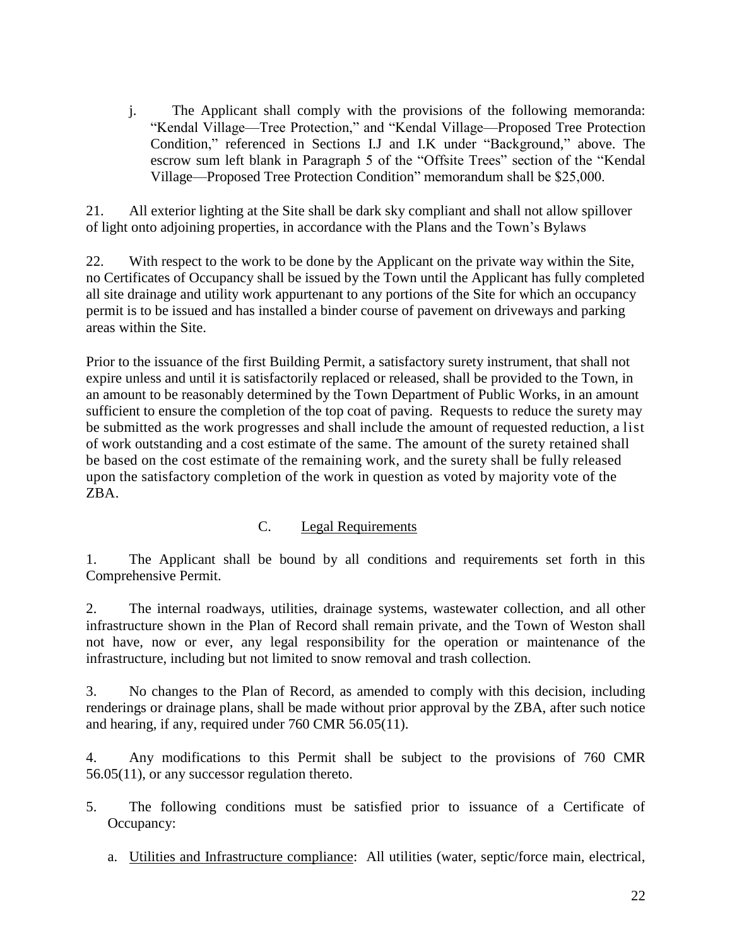j. The Applicant shall comply with the provisions of the following memoranda: "Kendal Village—Tree Protection," and "Kendal Village—Proposed Tree Protection Condition," referenced in Sections I.J and I.K under "Background," above. The escrow sum left blank in Paragraph 5 of the "Offsite Trees" section of the "Kendal Village—Proposed Tree Protection Condition" memorandum shall be \$25,000.

21. All exterior lighting at the Site shall be dark sky compliant and shall not allow spillover of light onto adjoining properties, in accordance with the Plans and the Town's Bylaws

22. With respect to the work to be done by the Applicant on the private way within the Site, no Certificates of Occupancy shall be issued by the Town until the Applicant has fully completed all site drainage and utility work appurtenant to any portions of the Site for which an occupancy permit is to be issued and has installed a binder course of pavement on driveways and parking areas within the Site.

Prior to the issuance of the first Building Permit, a satisfactory surety instrument, that shall not expire unless and until it is satisfactorily replaced or released, shall be provided to the Town, in an amount to be reasonably determined by the Town Department of Public Works, in an amount sufficient to ensure the completion of the top coat of paving. Requests to reduce the surety may be submitted as the work progresses and shall include the amount of requested reduction, a list of work outstanding and a cost estimate of the same. The amount of the surety retained shall be based on the cost estimate of the remaining work, and the surety shall be fully released upon the satisfactory completion of the work in question as voted by majority vote of the ZBA.

## C. Legal Requirements

1. The Applicant shall be bound by all conditions and requirements set forth in this Comprehensive Permit.

2. The internal roadways, utilities, drainage systems, wastewater collection, and all other infrastructure shown in the Plan of Record shall remain private, and the Town of Weston shall not have, now or ever, any legal responsibility for the operation or maintenance of the infrastructure, including but not limited to snow removal and trash collection.

3. No changes to the Plan of Record, as amended to comply with this decision, including renderings or drainage plans, shall be made without prior approval by the ZBA, after such notice and hearing, if any, required under 760 CMR 56.05(11).

4. Any modifications to this Permit shall be subject to the provisions of 760 CMR 56.05(11), or any successor regulation thereto.

- 5. The following conditions must be satisfied prior to issuance of a Certificate of Occupancy:
	- a. Utilities and Infrastructure compliance: All utilities (water, septic/force main, electrical,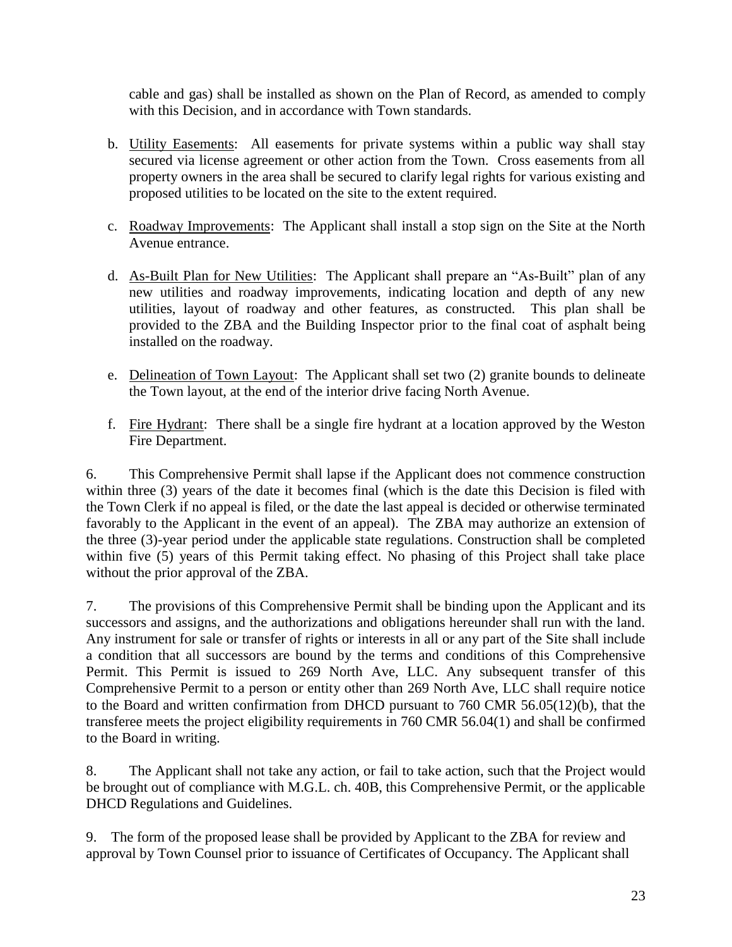cable and gas) shall be installed as shown on the Plan of Record, as amended to comply with this Decision, and in accordance with Town standards.

- b. Utility Easements: All easements for private systems within a public way shall stay secured via license agreement or other action from the Town. Cross easements from all property owners in the area shall be secured to clarify legal rights for various existing and proposed utilities to be located on the site to the extent required.
- c. Roadway Improvements: The Applicant shall install a stop sign on the Site at the North Avenue entrance.
- d. As-Built Plan for New Utilities: The Applicant shall prepare an "As-Built" plan of any new utilities and roadway improvements, indicating location and depth of any new utilities, layout of roadway and other features, as constructed. This plan shall be provided to the ZBA and the Building Inspector prior to the final coat of asphalt being installed on the roadway.
- e. Delineation of Town Layout: The Applicant shall set two (2) granite bounds to delineate the Town layout, at the end of the interior drive facing North Avenue.
- f. Fire Hydrant: There shall be a single fire hydrant at a location approved by the Weston Fire Department.

6. This Comprehensive Permit shall lapse if the Applicant does not commence construction within three (3) years of the date it becomes final (which is the date this Decision is filed with the Town Clerk if no appeal is filed, or the date the last appeal is decided or otherwise terminated favorably to the Applicant in the event of an appeal). The ZBA may authorize an extension of the three (3)-year period under the applicable state regulations. Construction shall be completed within five (5) years of this Permit taking effect. No phasing of this Project shall take place without the prior approval of the ZBA.

7. The provisions of this Comprehensive Permit shall be binding upon the Applicant and its successors and assigns, and the authorizations and obligations hereunder shall run with the land. Any instrument for sale or transfer of rights or interests in all or any part of the Site shall include a condition that all successors are bound by the terms and conditions of this Comprehensive Permit. This Permit is issued to 269 North Ave, LLC. Any subsequent transfer of this Comprehensive Permit to a person or entity other than 269 North Ave, LLC shall require notice to the Board and written confirmation from DHCD pursuant to 760 CMR 56.05(12)(b), that the transferee meets the project eligibility requirements in 760 CMR 56.04(1) and shall be confirmed to the Board in writing.

8. The Applicant shall not take any action, or fail to take action, such that the Project would be brought out of compliance with M.G.L. ch. 40B, this Comprehensive Permit, or the applicable DHCD Regulations and Guidelines.

9. The form of the proposed lease shall be provided by Applicant to the ZBA for review and approval by Town Counsel prior to issuance of Certificates of Occupancy. The Applicant shall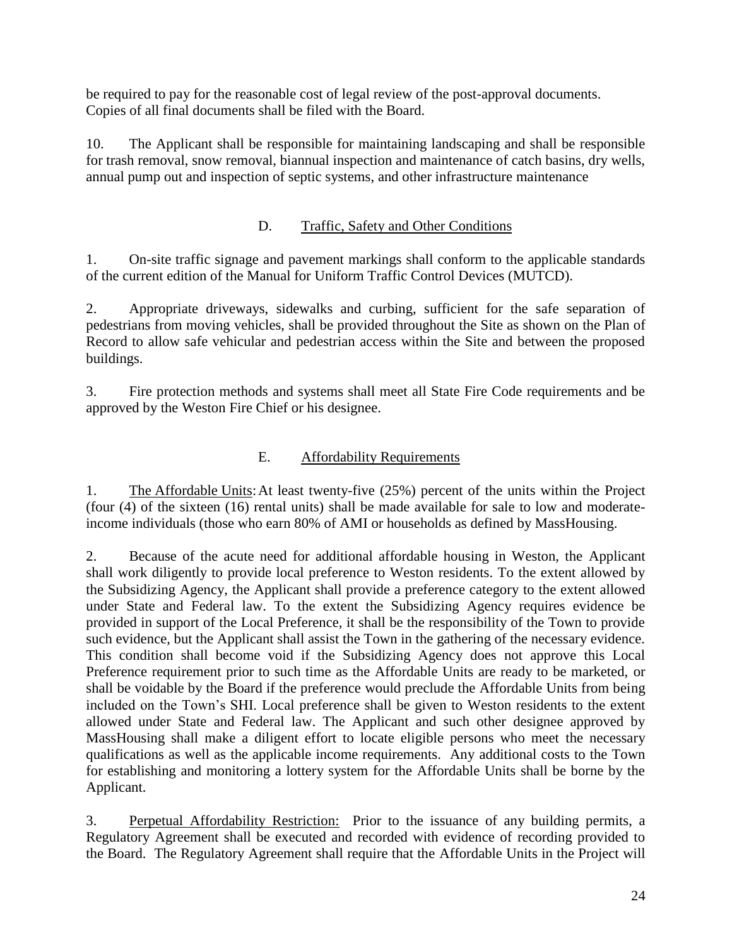be required to pay for the reasonable cost of legal review of the post-approval documents. Copies of all final documents shall be filed with the Board.

10. The Applicant shall be responsible for maintaining landscaping and shall be responsible for trash removal, snow removal, biannual inspection and maintenance of catch basins, dry wells, annual pump out and inspection of septic systems, and other infrastructure maintenance

# D. Traffic, Safety and Other Conditions

1. On-site traffic signage and pavement markings shall conform to the applicable standards of the current edition of the Manual for Uniform Traffic Control Devices (MUTCD).

2. Appropriate driveways, sidewalks and curbing, sufficient for the safe separation of pedestrians from moving vehicles, shall be provided throughout the Site as shown on the Plan of Record to allow safe vehicular and pedestrian access within the Site and between the proposed buildings.

3. Fire protection methods and systems shall meet all State Fire Code requirements and be approved by the Weston Fire Chief or his designee.

# E. Affordability Requirements

1. The Affordable Units:At least twenty-five (25%) percent of the units within the Project (four (4) of the sixteen (16) rental units) shall be made available for sale to low and moderateincome individuals (those who earn 80% of AMI or households as defined by MassHousing.

2. Because of the acute need for additional affordable housing in Weston, the Applicant shall work diligently to provide local preference to Weston residents. To the extent allowed by the Subsidizing Agency, the Applicant shall provide a preference category to the extent allowed under State and Federal law. To the extent the Subsidizing Agency requires evidence be provided in support of the Local Preference, it shall be the responsibility of the Town to provide such evidence, but the Applicant shall assist the Town in the gathering of the necessary evidence. This condition shall become void if the Subsidizing Agency does not approve this Local Preference requirement prior to such time as the Affordable Units are ready to be marketed, or shall be voidable by the Board if the preference would preclude the Affordable Units from being included on the Town's SHI. Local preference shall be given to Weston residents to the extent allowed under State and Federal law. The Applicant and such other designee approved by MassHousing shall make a diligent effort to locate eligible persons who meet the necessary qualifications as well as the applicable income requirements. Any additional costs to the Town for establishing and monitoring a lottery system for the Affordable Units shall be borne by the Applicant.

3. Perpetual Affordability Restriction: Prior to the issuance of any building permits, a Regulatory Agreement shall be executed and recorded with evidence of recording provided to the Board. The Regulatory Agreement shall require that the Affordable Units in the Project will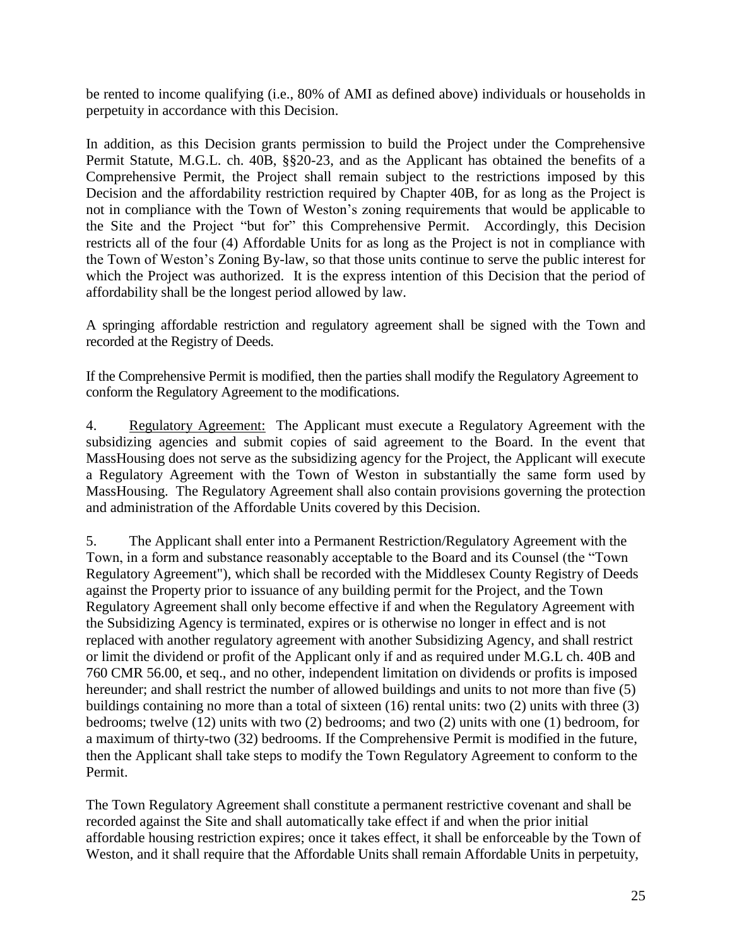be rented to income qualifying (i.e., 80% of AMI as defined above) individuals or households in perpetuity in accordance with this Decision.

In addition, as this Decision grants permission to build the Project under the Comprehensive Permit Statute, M.G.L. ch. 40B, §§20-23, and as the Applicant has obtained the benefits of a Comprehensive Permit, the Project shall remain subject to the restrictions imposed by this Decision and the affordability restriction required by Chapter 40B, for as long as the Project is not in compliance with the Town of Weston's zoning requirements that would be applicable to the Site and the Project "but for" this Comprehensive Permit. Accordingly, this Decision restricts all of the four (4) Affordable Units for as long as the Project is not in compliance with the Town of Weston's Zoning By-law, so that those units continue to serve the public interest for which the Project was authorized. It is the express intention of this Decision that the period of affordability shall be the longest period allowed by law.

A springing affordable restriction and regulatory agreement shall be signed with the Town and recorded at the Registry of Deeds.

If the Comprehensive Permit is modified, then the parties shall modify the Regulatory Agreement to conform the Regulatory Agreement to the modifications.

4. Regulatory Agreement: The Applicant must execute a Regulatory Agreement with the subsidizing agencies and submit copies of said agreement to the Board. In the event that MassHousing does not serve as the subsidizing agency for the Project, the Applicant will execute a Regulatory Agreement with the Town of Weston in substantially the same form used by MassHousing. The Regulatory Agreement shall also contain provisions governing the protection and administration of the Affordable Units covered by this Decision.

5. The Applicant shall enter into a Permanent Restriction/Regulatory Agreement with the Town, in a form and substance reasonably acceptable to the Board and its Counsel (the "Town Regulatory Agreement"), which shall be recorded with the Middlesex County Registry of Deeds against the Property prior to issuance of any building permit for the Project, and the Town Regulatory Agreement shall only become effective if and when the Regulatory Agreement with the Subsidizing Agency is terminated, expires or is otherwise no longer in effect and is not replaced with another regulatory agreement with another Subsidizing Agency, and shall restrict or limit the dividend or profit of the Applicant only if and as required under M.G.L ch. 40B and 760 CMR 56.00, et seq., and no other, independent limitation on dividends or profits is imposed hereunder; and shall restrict the number of allowed buildings and units to not more than five (5) buildings containing no more than a total of sixteen (16) rental units: two (2) units with three (3) bedrooms; twelve (12) units with two (2) bedrooms; and two (2) units with one (1) bedroom, for a maximum of thirty-two (32) bedrooms. If the Comprehensive Permit is modified in the future, then the Applicant shall take steps to modify the Town Regulatory Agreement to conform to the Permit.

The Town Regulatory Agreement shall constitute a permanent restrictive covenant and shall be recorded against the Site and shall automatically take effect if and when the prior initial affordable housing restriction expires; once it takes effect, it shall be enforceable by the Town of Weston, and it shall require that the Affordable Units shall remain Affordable Units in perpetuity,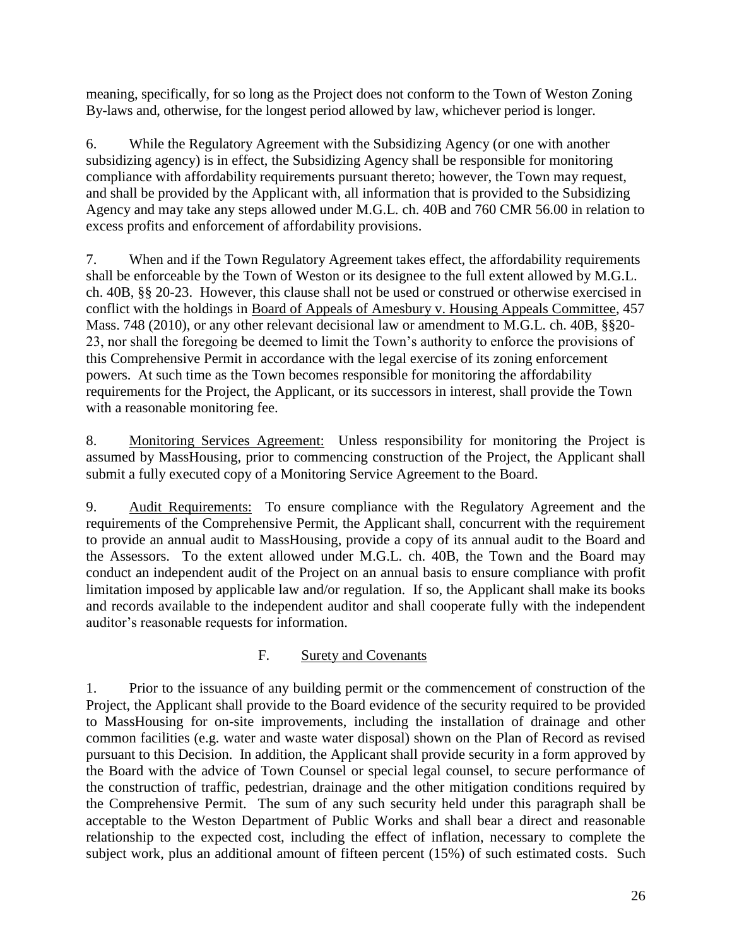meaning, specifically, for so long as the Project does not conform to the Town of Weston Zoning By-laws and, otherwise, for the longest period allowed by law, whichever period is longer.

6. While the Regulatory Agreement with the Subsidizing Agency (or one with another subsidizing agency) is in effect, the Subsidizing Agency shall be responsible for monitoring compliance with affordability requirements pursuant thereto; however, the Town may request, and shall be provided by the Applicant with, all information that is provided to the Subsidizing Agency and may take any steps allowed under M.G.L. ch. 40B and 760 CMR 56.00 in relation to excess profits and enforcement of affordability provisions.

7. When and if the Town Regulatory Agreement takes effect, the affordability requirements shall be enforceable by the Town of Weston or its designee to the full extent allowed by M.G.L. ch. 40B, §§ 20-23. However, this clause shall not be used or construed or otherwise exercised in conflict with the holdings in Board of Appeals of Amesbury v. Housing Appeals Committee, 457 Mass. 748 (2010), or any other relevant decisional law or amendment to M.G.L. ch. 40B, §§20- 23, nor shall the foregoing be deemed to limit the Town's authority to enforce the provisions of this Comprehensive Permit in accordance with the legal exercise of its zoning enforcement powers. At such time as the Town becomes responsible for monitoring the affordability requirements for the Project, the Applicant, or its successors in interest, shall provide the Town with a reasonable monitoring fee.

8. Monitoring Services Agreement: Unless responsibility for monitoring the Project is assumed by MassHousing, prior to commencing construction of the Project, the Applicant shall submit a fully executed copy of a Monitoring Service Agreement to the Board.

9. Audit Requirements: To ensure compliance with the Regulatory Agreement and the requirements of the Comprehensive Permit, the Applicant shall, concurrent with the requirement to provide an annual audit to MassHousing, provide a copy of its annual audit to the Board and the Assessors. To the extent allowed under M.G.L. ch. 40B, the Town and the Board may conduct an independent audit of the Project on an annual basis to ensure compliance with profit limitation imposed by applicable law and/or regulation. If so, the Applicant shall make its books and records available to the independent auditor and shall cooperate fully with the independent auditor's reasonable requests for information.

## F. Surety and Covenants

1. Prior to the issuance of any building permit or the commencement of construction of the Project, the Applicant shall provide to the Board evidence of the security required to be provided to MassHousing for on-site improvements, including the installation of drainage and other common facilities (e.g. water and waste water disposal) shown on the Plan of Record as revised pursuant to this Decision. In addition, the Applicant shall provide security in a form approved by the Board with the advice of Town Counsel or special legal counsel, to secure performance of the construction of traffic, pedestrian, drainage and the other mitigation conditions required by the Comprehensive Permit. The sum of any such security held under this paragraph shall be acceptable to the Weston Department of Public Works and shall bear a direct and reasonable relationship to the expected cost, including the effect of inflation, necessary to complete the subject work, plus an additional amount of fifteen percent (15%) of such estimated costs. Such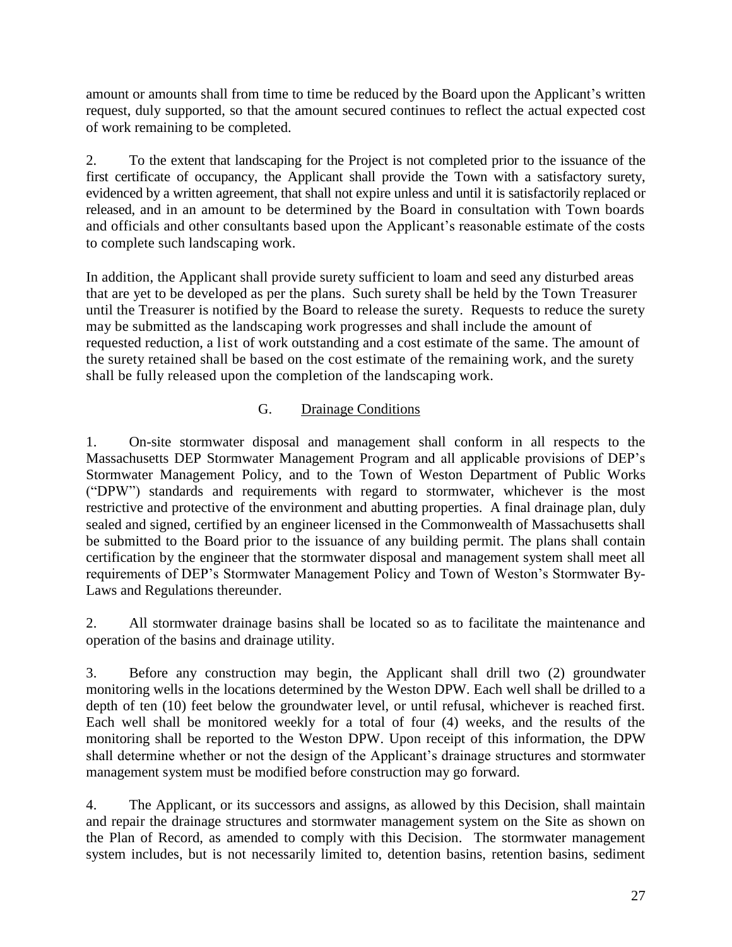amount or amounts shall from time to time be reduced by the Board upon the Applicant's written request, duly supported, so that the amount secured continues to reflect the actual expected cost of work remaining to be completed.

2. To the extent that landscaping for the Project is not completed prior to the issuance of the first certificate of occupancy, the Applicant shall provide the Town with a satisfactory surety, evidenced by a written agreement, that shall not expire unless and until it is satisfactorily replaced or released, and in an amount to be determined by the Board in consultation with Town boards and officials and other consultants based upon the Applicant's reasonable estimate of the costs to complete such landscaping work.

In addition, the Applicant shall provide surety sufficient to loam and seed any disturbed areas that are yet to be developed as per the plans. Such surety shall be held by the Town Treasurer until the Treasurer is notified by the Board to release the surety. Requests to reduce the surety may be submitted as the landscaping work progresses and shall include the amount of requested reduction, a list of work outstanding and a cost estimate of the same. The amount of the surety retained shall be based on the cost estimate of the remaining work, and the surety shall be fully released upon the completion of the landscaping work.

# G. Drainage Conditions

1. On-site stormwater disposal and management shall conform in all respects to the Massachusetts DEP Stormwater Management Program and all applicable provisions of DEP's Stormwater Management Policy, and to the Town of Weston Department of Public Works ("DPW") standards and requirements with regard to stormwater, whichever is the most restrictive and protective of the environment and abutting properties. A final drainage plan, duly sealed and signed, certified by an engineer licensed in the Commonwealth of Massachusetts shall be submitted to the Board prior to the issuance of any building permit. The plans shall contain certification by the engineer that the stormwater disposal and management system shall meet all requirements of DEP's Stormwater Management Policy and Town of Weston's Stormwater By-Laws and Regulations thereunder.

2. All stormwater drainage basins shall be located so as to facilitate the maintenance and operation of the basins and drainage utility.

3. Before any construction may begin, the Applicant shall drill two (2) groundwater monitoring wells in the locations determined by the Weston DPW. Each well shall be drilled to a depth of ten (10) feet below the groundwater level, or until refusal, whichever is reached first. Each well shall be monitored weekly for a total of four (4) weeks, and the results of the monitoring shall be reported to the Weston DPW. Upon receipt of this information, the DPW shall determine whether or not the design of the Applicant's drainage structures and stormwater management system must be modified before construction may go forward.

4. The Applicant, or its successors and assigns, as allowed by this Decision, shall maintain and repair the drainage structures and stormwater management system on the Site as shown on the Plan of Record, as amended to comply with this Decision. The stormwater management system includes, but is not necessarily limited to, detention basins, retention basins, sediment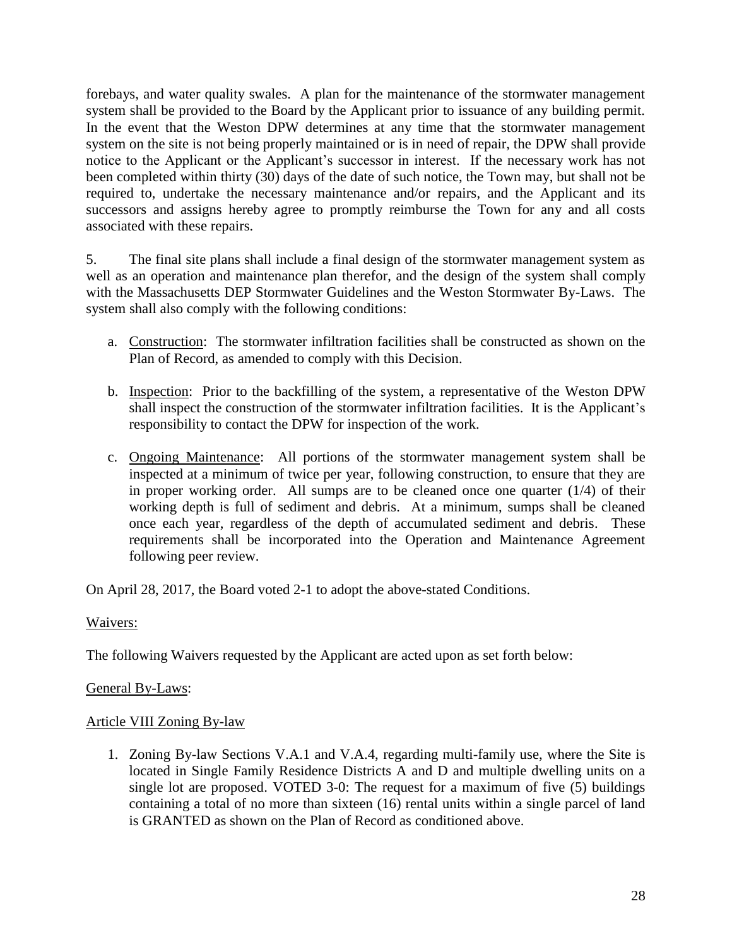forebays, and water quality swales. A plan for the maintenance of the stormwater management system shall be provided to the Board by the Applicant prior to issuance of any building permit. In the event that the Weston DPW determines at any time that the stormwater management system on the site is not being properly maintained or is in need of repair, the DPW shall provide notice to the Applicant or the Applicant's successor in interest. If the necessary work has not been completed within thirty (30) days of the date of such notice, the Town may, but shall not be required to, undertake the necessary maintenance and/or repairs, and the Applicant and its successors and assigns hereby agree to promptly reimburse the Town for any and all costs associated with these repairs.

5. The final site plans shall include a final design of the stormwater management system as well as an operation and maintenance plan therefor, and the design of the system shall comply with the Massachusetts DEP Stormwater Guidelines and the Weston Stormwater By-Laws. The system shall also comply with the following conditions:

- a. Construction: The stormwater infiltration facilities shall be constructed as shown on the Plan of Record, as amended to comply with this Decision.
- b. Inspection: Prior to the backfilling of the system, a representative of the Weston DPW shall inspect the construction of the stormwater infiltration facilities. It is the Applicant's responsibility to contact the DPW for inspection of the work.
- c. Ongoing Maintenance: All portions of the stormwater management system shall be inspected at a minimum of twice per year, following construction, to ensure that they are in proper working order. All sumps are to be cleaned once one quarter (1/4) of their working depth is full of sediment and debris. At a minimum, sumps shall be cleaned once each year, regardless of the depth of accumulated sediment and debris. These requirements shall be incorporated into the Operation and Maintenance Agreement following peer review.

On April 28, 2017, the Board voted 2-1 to adopt the above-stated Conditions.

## Waivers:

The following Waivers requested by the Applicant are acted upon as set forth below:

## General By-Laws:

## Article VIII Zoning By-law

1. Zoning By-law Sections V.A.1 and V.A.4, regarding multi-family use, where the Site is located in Single Family Residence Districts A and D and multiple dwelling units on a single lot are proposed. VOTED 3-0: The request for a maximum of five (5) buildings containing a total of no more than sixteen (16) rental units within a single parcel of land is GRANTED as shown on the Plan of Record as conditioned above.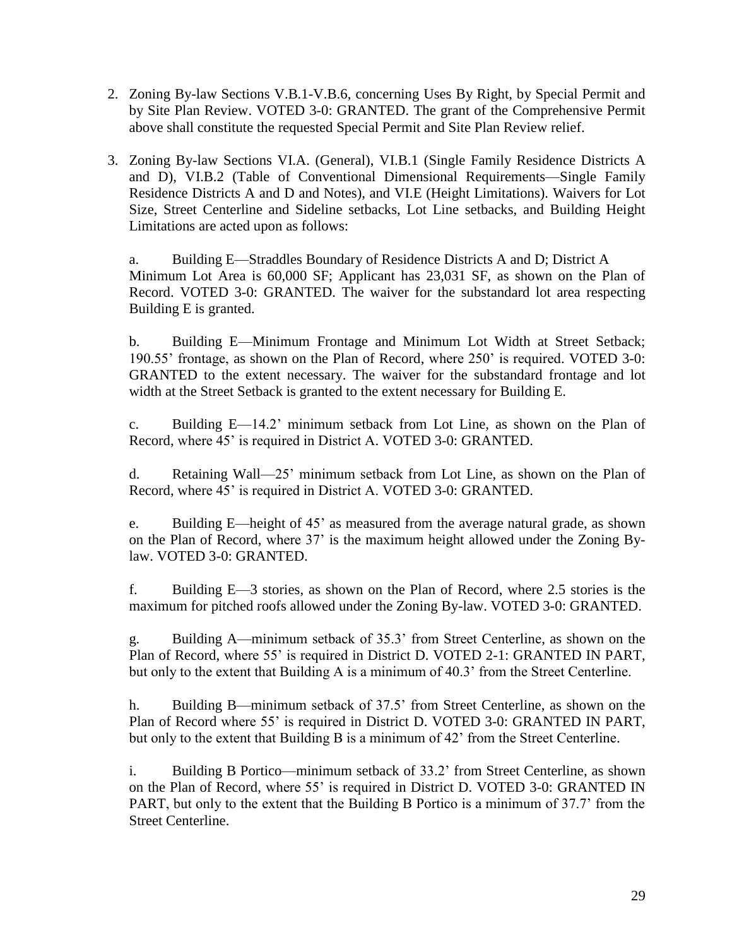- 2. Zoning By-law Sections V.B.1-V.B.6, concerning Uses By Right, by Special Permit and by Site Plan Review. VOTED 3-0: GRANTED. The grant of the Comprehensive Permit above shall constitute the requested Special Permit and Site Plan Review relief.
- 3. Zoning By-law Sections VI.A. (General), VI.B.1 (Single Family Residence Districts A and D), VI.B.2 (Table of Conventional Dimensional Requirements—Single Family Residence Districts A and D and Notes), and VI.E (Height Limitations). Waivers for Lot Size, Street Centerline and Sideline setbacks, Lot Line setbacks, and Building Height Limitations are acted upon as follows:

a. Building E—Straddles Boundary of Residence Districts A and D; District A Minimum Lot Area is 60,000 SF; Applicant has 23,031 SF, as shown on the Plan of Record. VOTED 3-0: GRANTED. The waiver for the substandard lot area respecting Building E is granted.

b. Building E—Minimum Frontage and Minimum Lot Width at Street Setback; 190.55' frontage, as shown on the Plan of Record, where 250' is required. VOTED 3-0: GRANTED to the extent necessary. The waiver for the substandard frontage and lot width at the Street Setback is granted to the extent necessary for Building E.

c. Building E—14.2' minimum setback from Lot Line, as shown on the Plan of Record, where 45' is required in District A. VOTED 3-0: GRANTED.

d. Retaining Wall—25' minimum setback from Lot Line, as shown on the Plan of Record, where 45' is required in District A. VOTED 3-0: GRANTED.

e. Building E—height of 45' as measured from the average natural grade, as shown on the Plan of Record, where 37' is the maximum height allowed under the Zoning Bylaw. VOTED 3-0: GRANTED.

f. Building E—3 stories, as shown on the Plan of Record, where 2.5 stories is the maximum for pitched roofs allowed under the Zoning By-law. VOTED 3-0: GRANTED.

g. Building A—minimum setback of 35.3' from Street Centerline, as shown on the Plan of Record, where 55' is required in District D. VOTED 2-1: GRANTED IN PART, but only to the extent that Building A is a minimum of 40.3' from the Street Centerline.

h. Building B—minimum setback of 37.5' from Street Centerline, as shown on the Plan of Record where 55' is required in District D. VOTED 3-0: GRANTED IN PART, but only to the extent that Building B is a minimum of 42' from the Street Centerline.

i. Building B Portico—minimum setback of 33.2' from Street Centerline, as shown on the Plan of Record, where 55' is required in District D. VOTED 3-0: GRANTED IN PART, but only to the extent that the Building B Portico is a minimum of 37.7' from the Street Centerline.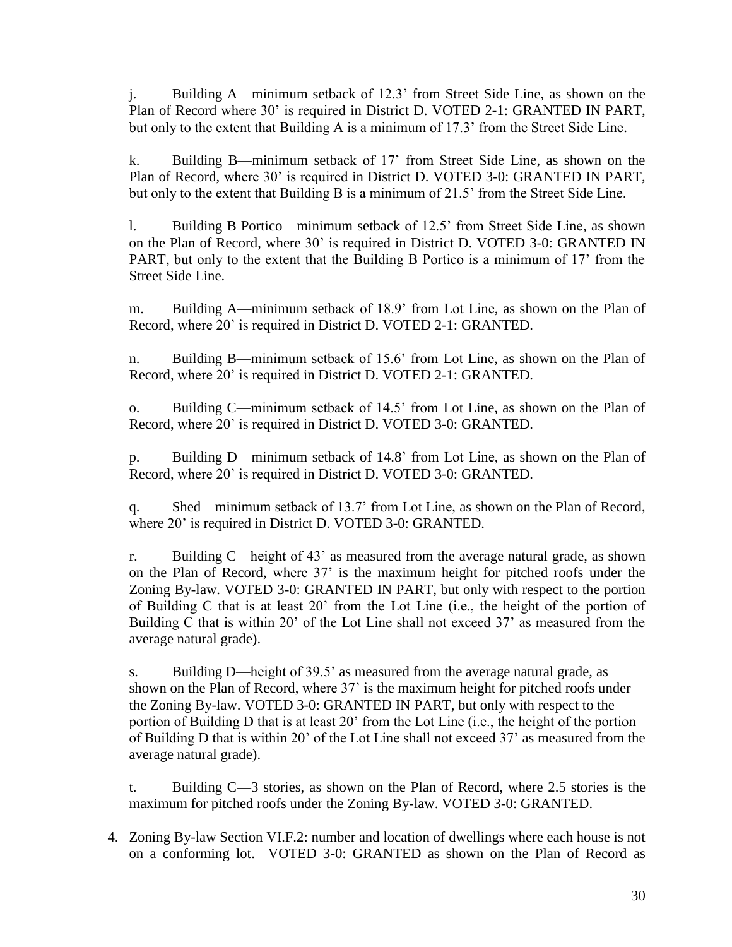j. Building A—minimum setback of 12.3' from Street Side Line, as shown on the Plan of Record where 30' is required in District D. VOTED 2-1: GRANTED IN PART, but only to the extent that Building A is a minimum of 17.3' from the Street Side Line.

k. Building B—minimum setback of 17' from Street Side Line, as shown on the Plan of Record, where 30' is required in District D. VOTED 3-0: GRANTED IN PART, but only to the extent that Building B is a minimum of 21.5' from the Street Side Line.

l. Building B Portico—minimum setback of 12.5' from Street Side Line, as shown on the Plan of Record, where 30' is required in District D. VOTED 3-0: GRANTED IN PART, but only to the extent that the Building B Portico is a minimum of 17' from the Street Side Line.

m. Building A—minimum setback of 18.9' from Lot Line, as shown on the Plan of Record, where 20' is required in District D. VOTED 2-1: GRANTED.

n. Building B—minimum setback of 15.6' from Lot Line, as shown on the Plan of Record, where 20' is required in District D. VOTED 2-1: GRANTED.

o. Building C—minimum setback of 14.5' from Lot Line, as shown on the Plan of Record, where 20' is required in District D. VOTED 3-0: GRANTED.

p. Building D—minimum setback of 14.8' from Lot Line, as shown on the Plan of Record, where 20' is required in District D. VOTED 3-0: GRANTED.

q. Shed—minimum setback of 13.7' from Lot Line, as shown on the Plan of Record, where 20' is required in District D. VOTED 3-0: GRANTED.

r. Building C—height of 43' as measured from the average natural grade, as shown on the Plan of Record, where 37' is the maximum height for pitched roofs under the Zoning By-law. VOTED 3-0: GRANTED IN PART, but only with respect to the portion of Building C that is at least 20' from the Lot Line (i.e., the height of the portion of Building C that is within 20' of the Lot Line shall not exceed 37' as measured from the average natural grade).

s. Building D—height of 39.5' as measured from the average natural grade, as shown on the Plan of Record, where 37' is the maximum height for pitched roofs under the Zoning By-law. VOTED 3-0: GRANTED IN PART, but only with respect to the portion of Building D that is at least 20' from the Lot Line (i.e., the height of the portion of Building D that is within 20' of the Lot Line shall not exceed 37' as measured from the average natural grade).

t. Building C—3 stories, as shown on the Plan of Record, where 2.5 stories is the maximum for pitched roofs under the Zoning By-law. VOTED 3-0: GRANTED.

4. Zoning By-law Section VI.F.2: number and location of dwellings where each house is not on a conforming lot. VOTED 3-0: GRANTED as shown on the Plan of Record as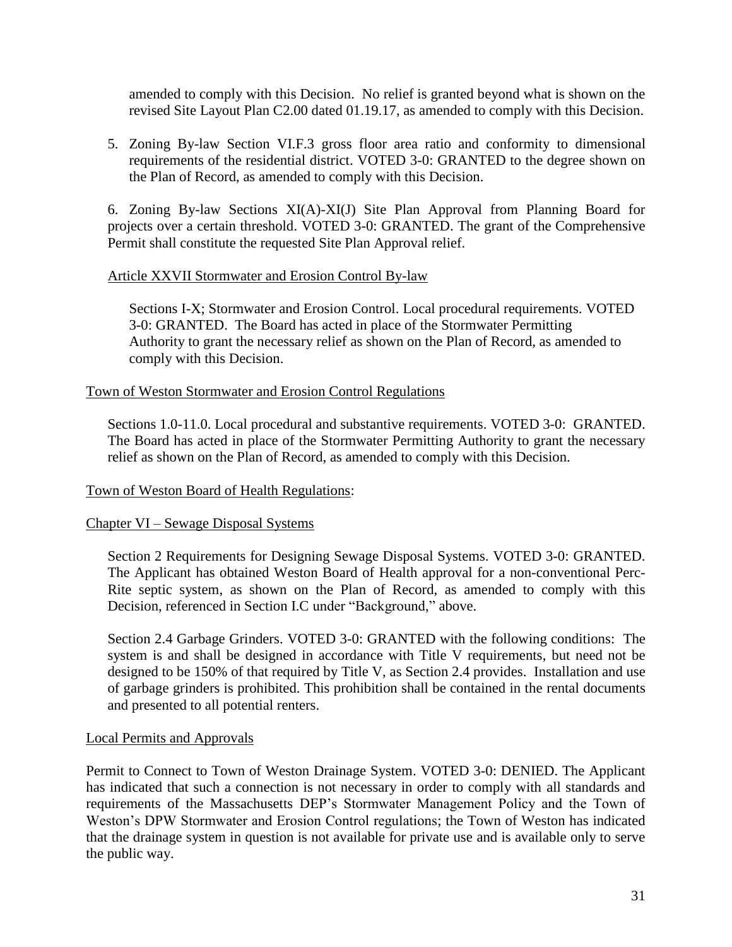amended to comply with this Decision.No relief is granted beyond what is shown on the revised Site Layout Plan C2.00 dated 01.19.17, as amended to comply with this Decision.

5. Zoning By-law Section VI.F.3 gross floor area ratio and conformity to dimensional requirements of the residential district. VOTED 3-0: GRANTED to the degree shown on the Plan of Record, as amended to comply with this Decision.

6. Zoning By-law Sections XI(A)-XI(J) Site Plan Approval from Planning Board for projects over a certain threshold. VOTED 3-0: GRANTED. The grant of the Comprehensive Permit shall constitute the requested Site Plan Approval relief.

### Article XXVII Stormwater and Erosion Control By-law

Sections I-X; Stormwater and Erosion Control. Local procedural requirements. VOTED 3-0: GRANTED. The Board has acted in place of the Stormwater Permitting Authority to grant the necessary relief as shown on the Plan of Record, as amended to comply with this Decision.

### Town of Weston Stormwater and Erosion Control Regulations

Sections 1.0-11.0. Local procedural and substantive requirements. VOTED 3-0: GRANTED. The Board has acted in place of the Stormwater Permitting Authority to grant the necessary relief as shown on the Plan of Record, as amended to comply with this Decision.

### Town of Weston Board of Health Regulations:

### Chapter VI – Sewage Disposal Systems

Section 2 Requirements for Designing Sewage Disposal Systems. VOTED 3-0: GRANTED. The Applicant has obtained Weston Board of Health approval for a non-conventional Perc-Rite septic system, as shown on the Plan of Record, as amended to comply with this Decision, referenced in Section I.C under "Background," above.

Section 2.4 Garbage Grinders. VOTED 3-0: GRANTED with the following conditions: The system is and shall be designed in accordance with Title V requirements, but need not be designed to be 150% of that required by Title V, as Section 2.4 provides. Installation and use of garbage grinders is prohibited. This prohibition shall be contained in the rental documents and presented to all potential renters.

### Local Permits and Approvals

Permit to Connect to Town of Weston Drainage System. VOTED 3-0: DENIED. The Applicant has indicated that such a connection is not necessary in order to comply with all standards and requirements of the Massachusetts DEP's Stormwater Management Policy and the Town of Weston's DPW Stormwater and Erosion Control regulations; the Town of Weston has indicated that the drainage system in question is not available for private use and is available only to serve the public way.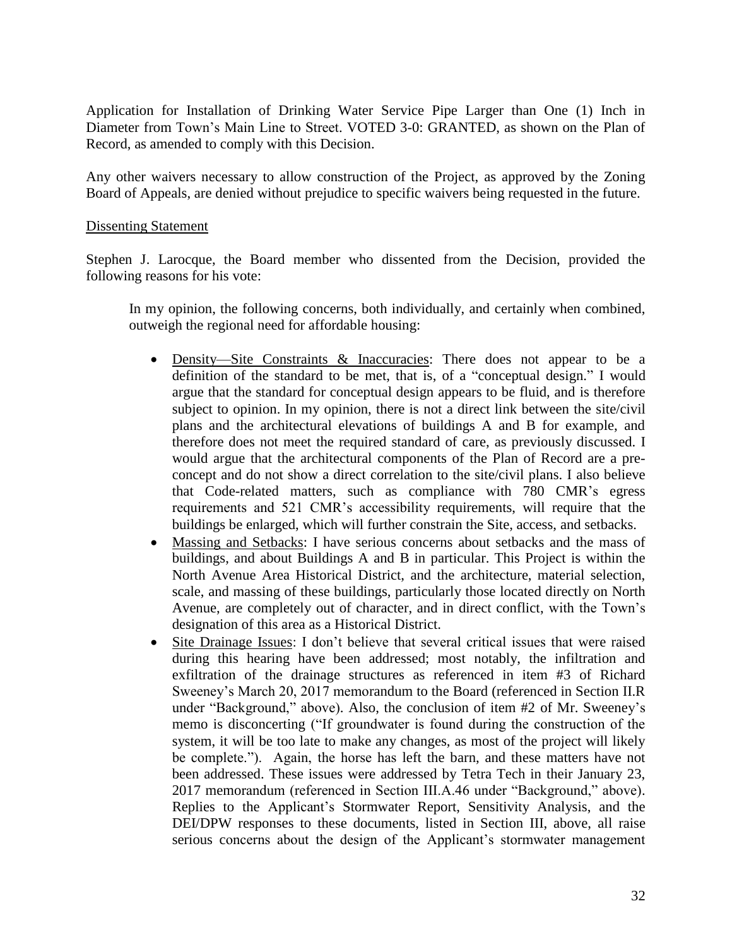Application for Installation of Drinking Water Service Pipe Larger than One (1) Inch in Diameter from Town's Main Line to Street. VOTED 3-0: GRANTED, as shown on the Plan of Record, as amended to comply with this Decision.

Any other waivers necessary to allow construction of the Project, as approved by the Zoning Board of Appeals, are denied without prejudice to specific waivers being requested in the future.

#### Dissenting Statement

Stephen J. Larocque, the Board member who dissented from the Decision, provided the following reasons for his vote:

In my opinion, the following concerns, both individually, and certainly when combined, outweigh the regional need for affordable housing:

- Density—Site Constraints & Inaccuracies: There does not appear to be a definition of the standard to be met, that is, of a "conceptual design." I would argue that the standard for conceptual design appears to be fluid, and is therefore subject to opinion. In my opinion, there is not a direct link between the site/civil plans and the architectural elevations of buildings A and B for example, and therefore does not meet the required standard of care, as previously discussed. I would argue that the architectural components of the Plan of Record are a preconcept and do not show a direct correlation to the site/civil plans. I also believe that Code-related matters, such as compliance with 780 CMR's egress requirements and 521 CMR's accessibility requirements, will require that the buildings be enlarged, which will further constrain the Site, access, and setbacks.
- Massing and Setbacks: I have serious concerns about setbacks and the mass of buildings, and about Buildings A and B in particular. This Project is within the North Avenue Area Historical District, and the architecture, material selection, scale, and massing of these buildings, particularly those located directly on North Avenue, are completely out of character, and in direct conflict, with the Town's designation of this area as a Historical District.
- Site Drainage Issues: I don't believe that several critical issues that were raised during this hearing have been addressed; most notably, the infiltration and exfiltration of the drainage structures as referenced in item #3 of Richard Sweeney's March 20, 2017 memorandum to the Board (referenced in Section II.R under "Background," above). Also, the conclusion of item #2 of Mr. Sweeney's memo is disconcerting ("If groundwater is found during the construction of the system, it will be too late to make any changes, as most of the project will likely be complete."). Again, the horse has left the barn, and these matters have not been addressed. These issues were addressed by Tetra Tech in their January 23, 2017 memorandum (referenced in Section III.A.46 under "Background," above). Replies to the Applicant's Stormwater Report, Sensitivity Analysis, and the DEI/DPW responses to these documents, listed in Section III, above, all raise serious concerns about the design of the Applicant's stormwater management